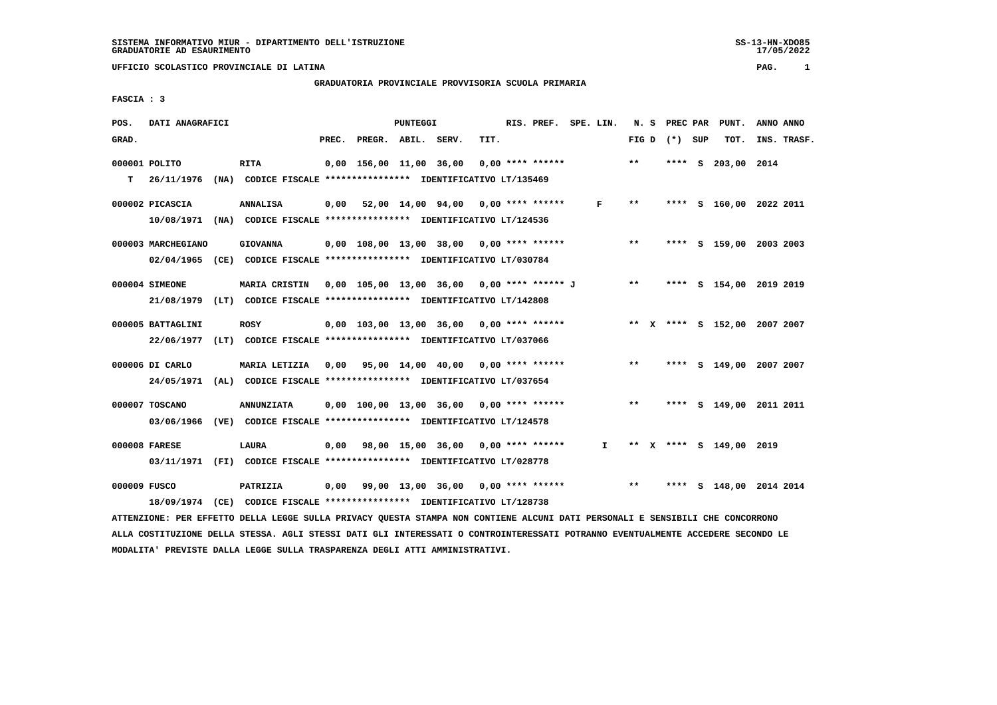# **GRADUATORIA PROVINCIALE PROVVISORIA SCUOLA PRIMARIA**

 **FASCIA : 3**

| POS.         | DATI ANAGRAFICI    |                                                                                                                               |                          | PUNTEGGI |                                                         |      | RIS. PREF. SPE. LIN. |              |       |                 | N. S PREC PAR PUNT.     | ANNO ANNO                    |
|--------------|--------------------|-------------------------------------------------------------------------------------------------------------------------------|--------------------------|----------|---------------------------------------------------------|------|----------------------|--------------|-------|-----------------|-------------------------|------------------------------|
| GRAD.        |                    |                                                                                                                               | PREC. PREGR. ABIL. SERV. |          |                                                         | TIT. |                      |              |       | FIG D $(*)$ SUP | тот.                    | INS. TRASF.                  |
|              | 000001 POLITO      | <b>RITA</b>                                                                                                                   |                          |          | $0,00$ 156,00 11,00 36,00 0,00 **** ******              |      |                      |              | $***$ | **** S          | 203,00 2014             |                              |
| T.           | 26/11/1976         | (NA) CODICE FISCALE *************** IDENTIFICATIVO LT/135469                                                                  |                          |          |                                                         |      |                      |              |       |                 |                         |                              |
|              | 000002 PICASCIA    | <b>ANNALISA</b>                                                                                                               |                          |          | $0,00$ 52,00 14,00 94,00 0,00 **** ******               |      |                      | F            | $***$ |                 |                         | **** S 160,00 2022 2011      |
|              |                    | 10/08/1971 (NA) CODICE FISCALE *************** IDENTIFICATIVO LT/124536                                                       |                          |          |                                                         |      |                      |              |       |                 |                         |                              |
|              | 000003 MARCHEGIANO | <b>GIOVANNA</b>                                                                                                               |                          |          | $0,00$ $108,00$ $13,00$ $38,00$ $0,00$ $***$ **** ***** |      |                      |              | $* *$ |                 |                         | **** S 159,00 2003 2003      |
|              |                    | 02/04/1965 (CE) CODICE FISCALE *************** IDENTIFICATIVO LT/030784                                                       |                          |          |                                                         |      |                      |              |       |                 |                         |                              |
|              | 000004 SIMEONE     | <b>MARIA CRISTIN</b>                                                                                                          |                          |          | 0,00 105,00 13,00 36,00 0,00 **** ****** J              |      |                      |              | $***$ |                 |                         | **** S 154,00 2019 2019      |
|              |                    | 21/08/1979 (LT) CODICE FISCALE *************** IDENTIFICATIVO LT/142808                                                       |                          |          |                                                         |      |                      |              |       |                 |                         |                              |
|              | 000005 BATTAGLINI  | <b>ROSY</b>                                                                                                                   |                          |          | $0.00$ 103.00 13.00 36.00 0.00 **** ******              |      |                      |              |       |                 |                         | ** X **** S 152,00 2007 2007 |
|              |                    | 22/06/1977 (LT) CODICE FISCALE *************** IDENTIFICATIVO LT/037066                                                       |                          |          |                                                         |      |                      |              |       |                 |                         |                              |
|              | 000006 DI CARLO    | MARIA LETIZIA 0,00 95,00 14,00 40,00 0,00 **** ******                                                                         |                          |          |                                                         |      |                      |              | $***$ |                 |                         | **** S 149,00 2007 2007      |
|              |                    | 24/05/1971 (AL) CODICE FISCALE *************** IDENTIFICATIVO LT/037654                                                       |                          |          |                                                         |      |                      |              |       |                 |                         |                              |
|              | 000007 TOSCANO     | <b>ANNUNZIATA</b>                                                                                                             |                          |          | $0,00$ 100,00 13,00 36,00 0,00 **** ******              |      |                      |              | $***$ |                 |                         | **** S 149,00 2011 2011      |
|              |                    | 03/06/1966 (VE) CODICE FISCALE *************** IDENTIFICATIVO LT/124578                                                       |                          |          |                                                         |      |                      |              |       |                 |                         |                              |
|              | 000008 FARESE      | <b>LAURA</b>                                                                                                                  |                          |          | 0,00 98,00 15,00 36,00 0,00 **** ******                 |      |                      | $\mathbf{I}$ |       |                 | ** X **** S 149,00 2019 |                              |
|              |                    | 03/11/1971 (FI) CODICE FISCALE *************** IDENTIFICATIVO LT/028778                                                       |                          |          |                                                         |      |                      |              |       |                 |                         |                              |
| 000009 FUSCO |                    | PATRIZIA                                                                                                                      |                          |          | $0,00$ $99,00$ $13,00$ $36,00$ $0,00$ $***$ $***$ $***$ |      |                      |              |       |                 |                         | **** S 148,00 2014 2014      |
|              |                    | 18/09/1974 (CE) CODICE FISCALE *************** IDENTIFICATIVO LT/128738                                                       |                          |          |                                                         |      |                      |              |       |                 |                         |                              |
|              |                    | ATTENZIONE: PER EFFETTO DELLA LEGGE SULLA PRIVACY QUESTA STAMPA NON CONTIENE ALCUNI DATI PERSONALI E SENSIBILI CHE CONCORRONO |                          |          |                                                         |      |                      |              |       |                 |                         |                              |

 **ALLA COSTITUZIONE DELLA STESSA. AGLI STESSI DATI GLI INTERESSATI O CONTROINTERESSATI POTRANNO EVENTUALMENTE ACCEDERE SECONDO LE MODALITA' PREVISTE DALLA LEGGE SULLA TRASPARENZA DEGLI ATTI AMMINISTRATIVI.**

SS-13-HN-XDO85<br>17/05/2022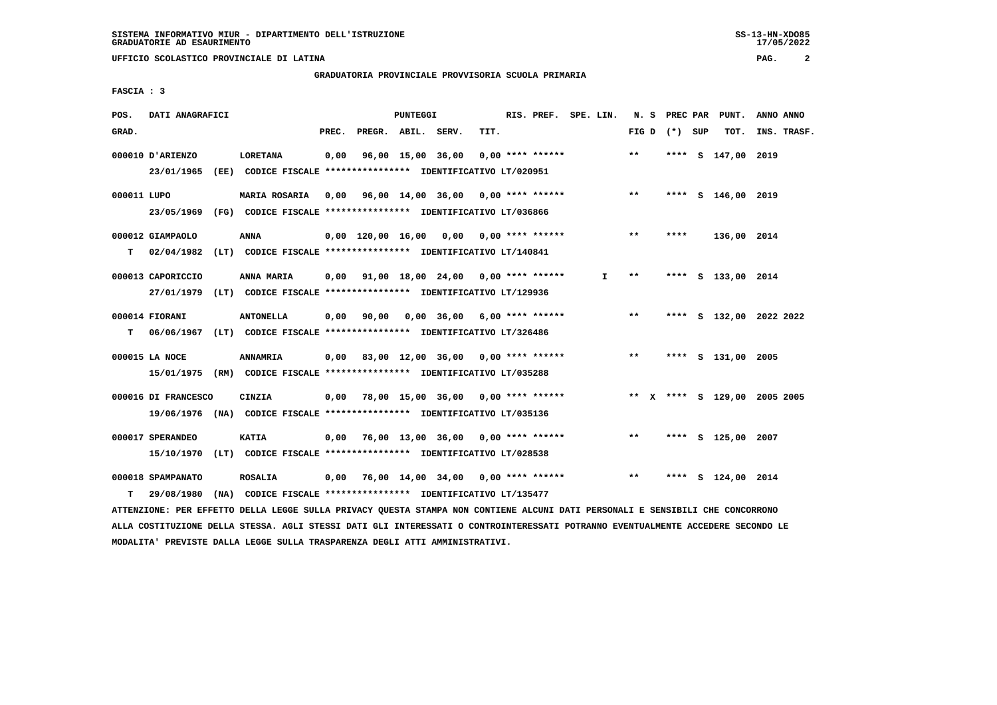# **GRADUATORIA PROVINCIALE PROVVISORIA SCUOLA PRIMARIA**

 **FASCIA : 3**

| POS.        | DATI ANAGRAFICI                                                                                 |                                                                                 |       |                    | PUNTEGGI |                                                       |      | RIS. PREF. SPE. LIN. |    |       | N. S PREC PAR   | PUNT.                        | ANNO ANNO |             |
|-------------|-------------------------------------------------------------------------------------------------|---------------------------------------------------------------------------------|-------|--------------------|----------|-------------------------------------------------------|------|----------------------|----|-------|-----------------|------------------------------|-----------|-------------|
| GRAD.       |                                                                                                 |                                                                                 | PREC. | PREGR. ABIL. SERV. |          |                                                       | TIT. |                      |    |       | FIG D $(*)$ SUP | TOT.                         |           | INS. TRASF. |
|             | 000010 D'ARIENZO<br>23/01/1965 (EE) CODICE FISCALE *************** IDENTIFICATIVO LT/020951     | <b>LORETANA</b>                                                                 | 0,00  |                    |          | 96,00 15,00 36,00                                     |      | $0.00$ **** ******   |    | $**$  |                 | **** S 147,00 2019           |           |             |
| 000011 LUPO | 23/05/1969 (FG) CODICE FISCALE *************** IDENTIFICATIVO LT/036866                         | MARIA ROSARIA                                                                   |       |                    |          | $0,00$ 96,00 14,00 36,00 0,00 **** ******             |      |                      |    | $***$ |                 | **** S 146,00 2019           |           |             |
| т           | 000012 GIAMPAOLO<br>02/04/1982 (LT) CODICE FISCALE **************** IDENTIFICATIVO LT/140841    | <b>ANNA</b>                                                                     |       |                    |          | $0,00$ 120,00 16,00 0,00 0,00 **** ******             |      |                      |    | $***$ | ****            | 136,00 2014                  |           |             |
|             | 000013 CAPORICCIO<br>27/01/1979 (LT) CODICE FISCALE *************** IDENTIFICATIVO LT/129936    | ANNA MARIA                                                                      |       |                    |          | $0,00$ $91,00$ $18,00$ $24,00$ $0,00$ **** ******     |      |                      | I. | **    |                 | **** S 133,00 2014           |           |             |
| T.          | 000014 FIORANI<br>06/06/1967 (LT) CODICE FISCALE *************** IDENTIFICATIVO LT/326486       | <b>ANTONELLA</b>                                                                |       |                    |          | $0,00$ $90,00$ $0,00$ $36,00$ $6,00$ $***$ **** ***** |      |                      |    | $***$ |                 | **** S 132,00 2022 2022      |           |             |
|             | 000015 LA NOCE<br>15/01/1975 (RM) CODICE FISCALE *************** IDENTIFICATIVO LT/035288       | <b>ANNAMRIA</b>                                                                 |       |                    |          | $0,00$ 83,00 12,00 36,00 0,00 **** ******             |      |                      |    | $***$ |                 | **** S 131,00 2005           |           |             |
|             | 000016 DI FRANCESCO<br>19/06/1976 (NA) CODICE FISCALE **************** IDENTIFICATIVO LT/035136 | CINZIA                                                                          |       |                    |          | $0.00$ 78.00 15.00 36.00 0.00 **** ******             |      |                      |    |       |                 | ** X **** S 129,00 2005 2005 |           |             |
|             | 000017 SPERANDEO<br>15/10/1970 (LT) CODICE FISCALE *************** IDENTIFICATIVO LT/028538     | <b>KATIA</b>                                                                    |       |                    |          | $0.00$ 76.00 13.00 36.00 0.00 **** ******             |      |                      |    | $***$ |                 | **** S 125,00 2007           |           |             |
| т           | 000018 SPAMPANATO<br>29/08/1980                                                                 | <b>ROSALIA</b><br>(NA) CODICE FISCALE **************** IDENTIFICATIVO LT/135477 |       |                    |          | $0.00$ 76.00 14.00 34.00 0.00 **** ******             |      |                      |    | $***$ |                 | **** S 124,00 2014           |           |             |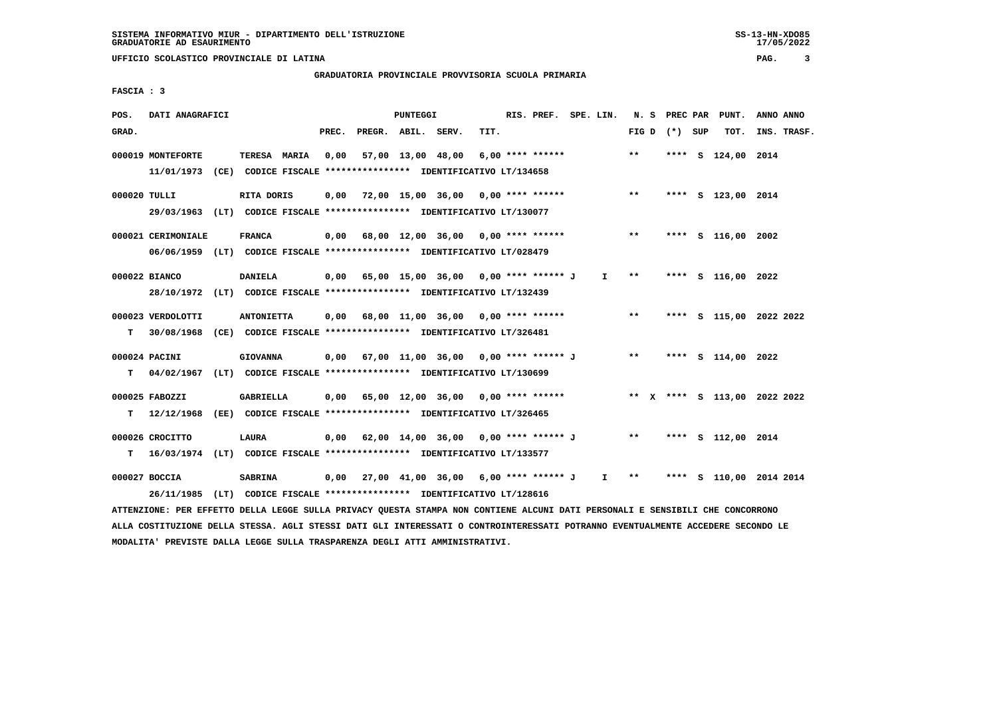# **GRADUATORIA PROVINCIALE PROVVISORIA SCUOLA PRIMARIA**

 **FASCIA : 3**

| POS.         | DATI ANAGRAFICI                                                                                                               |                   |       |                    | PUNTEGGI |                                                                          |      | RIS. PREF. SPE. LIN. |              |       |                 | N. S PREC PAR PUNT.     | ANNO ANNO   |  |
|--------------|-------------------------------------------------------------------------------------------------------------------------------|-------------------|-------|--------------------|----------|--------------------------------------------------------------------------|------|----------------------|--------------|-------|-----------------|-------------------------|-------------|--|
| GRAD.        |                                                                                                                               |                   | PREC. | PREGR. ABIL. SERV. |          |                                                                          | TIT. |                      |              |       | FIG D $(*)$ SUP | тот.                    | INS. TRASF. |  |
|              | 000019 MONTEFORTE                                                                                                             | TERESA MARIA      | 0,00  |                    |          | 57,00 13,00 48,00                                                        |      | 6,00 **** ******     |              | $***$ |                 | **** S 124,00 2014      |             |  |
|              | 11/01/1973 (CE) CODICE FISCALE **************** IDENTIFICATIVO LT/134658                                                      |                   |       |                    |          |                                                                          |      |                      |              |       |                 |                         |             |  |
| 000020 TULLI |                                                                                                                               | RITA DORIS        |       |                    |          | $0,00$ $72,00$ $15,00$ $36,00$ $0,00$ **** ******                        |      |                      |              | $***$ |                 | **** S 123,00 2014      |             |  |
|              | 29/03/1963 (LT) CODICE FISCALE *************** IDENTIFICATIVO LT/130077                                                       |                   |       |                    |          |                                                                          |      |                      |              |       |                 |                         |             |  |
|              | 000021 CERIMONIALE                                                                                                            | <b>FRANCA</b>     |       |                    |          | 0,00 68,00 12,00 36,00 0,00 **** ******                                  |      |                      |              | $***$ |                 | **** S 116,00 2002      |             |  |
|              | 06/06/1959 (LT) CODICE FISCALE *************** IDENTIFICATIVO LT/028479                                                       |                   |       |                    |          |                                                                          |      |                      |              |       |                 |                         |             |  |
|              | 000022 BIANCO                                                                                                                 | <b>DANIELA</b>    |       |                    |          | 0,00 65,00 15,00 36,00 0,00 **** ****** J                                |      |                      | $\mathbf{I}$ | $* *$ |                 | **** S 116,00 2022      |             |  |
|              | 28/10/1972 (LT) CODICE FISCALE *************** IDENTIFICATIVO LT/132439                                                       |                   |       |                    |          |                                                                          |      |                      |              |       |                 |                         |             |  |
|              | 000023 VERDOLOTTI                                                                                                             | <b>ANTONIETTA</b> |       |                    |          | $0,00$ 68,00 11,00 36,00 0,00 **** ******                                |      |                      |              | $***$ |                 | **** S 115,00 2022 2022 |             |  |
| т            | 30/08/1968 (CE) CODICE FISCALE **************** IDENTIFICATIVO LT/326481                                                      |                   |       |                    |          |                                                                          |      |                      |              |       |                 |                         |             |  |
|              | 000024 PACINI                                                                                                                 | <b>GIOVANNA</b>   |       |                    |          | $0,00$ 67,00 11,00 36,00 0,00 **** ****** J **                           |      |                      |              |       |                 | **** S 114,00 2022      |             |  |
| т            | 04/02/1967 (LT) CODICE FISCALE **************** IDENTIFICATIVO LT/130699                                                      |                   |       |                    |          |                                                                          |      |                      |              |       |                 |                         |             |  |
|              | 000025 FABOZZI                                                                                                                | <b>GABRIELLA</b>  |       |                    |          | 0,00 65,00 12,00 36,00 0,00 **** ****** * *** * **** \$ 113,00 2022 2022 |      |                      |              |       |                 |                         |             |  |
| т            | 12/12/1968 (EE) CODICE FISCALE *************** IDENTIFICATIVO LT/326465                                                       |                   |       |                    |          |                                                                          |      |                      |              |       |                 |                         |             |  |
|              | 000026 CROCITTO                                                                                                               | <b>LAURA</b>      |       |                    |          | $0,00$ $62,00$ $14,00$ $36,00$ $0,00$ $***$ $***$ $*$ $*$                |      |                      |              |       |                 | **** S 112,00 2014      |             |  |
| т            | 16/03/1974 (LT) CODICE FISCALE **************** IDENTIFICATIVO LT/133577                                                      |                   |       |                    |          |                                                                          |      |                      |              |       |                 |                         |             |  |
|              | 000027 BOCCIA                                                                                                                 | <b>SABRINA</b>    |       |                    |          | 0,00 27,00 41,00 36,00 6,00 **** ****** J I **                           |      |                      |              |       |                 | **** S 110,00 2014 2014 |             |  |
|              | 26/11/1985                                                                                                                    |                   |       |                    |          | (LT) CODICE FISCALE *************** IDENTIFICATIVO LT/128616             |      |                      |              |       |                 |                         |             |  |
|              | ATTENZIONE: PER EFFETTO DELLA LEGGE SULLA PRIVACY QUESTA STAMPA NON CONTIENE ALCUNI DATI PERSONALI E SENSIBILI CHE CONCORRONO |                   |       |                    |          |                                                                          |      |                      |              |       |                 |                         |             |  |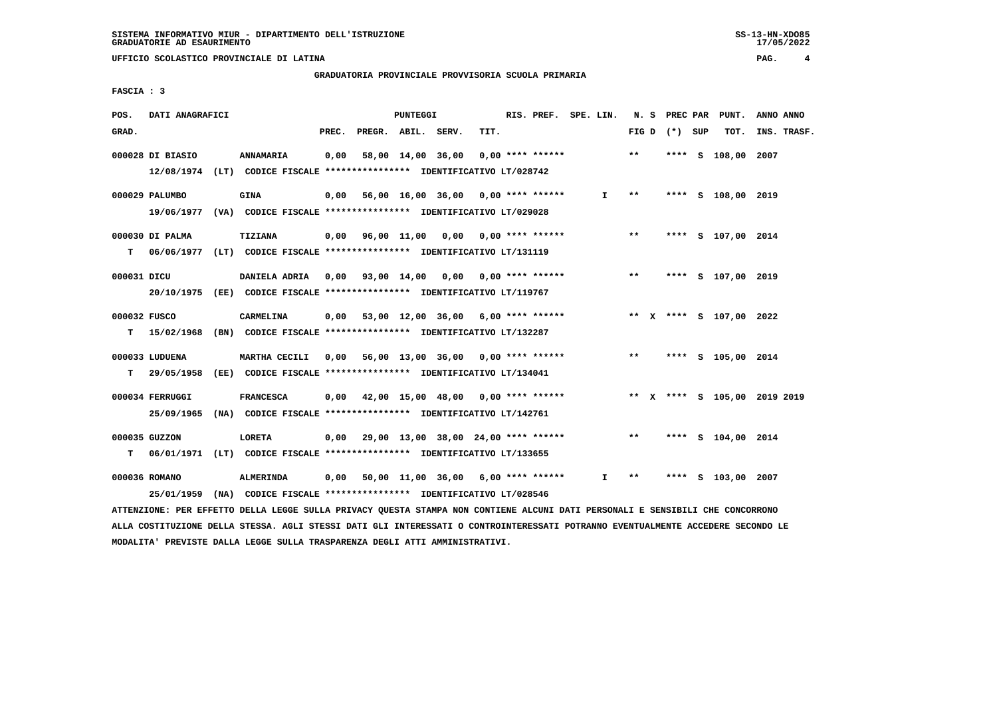#### **GRADUATORIA PROVINCIALE PROVVISORIA SCUOLA PRIMARIA**

 **FASCIA : 3**

| POS.        | DATI ANAGRAFICI  |                                                                                             |       |                                                        | PUNTEGGI |                   |      | RIS. PREF. SPE. LIN. |              |                 |  | N. S PREC PAR PUNT.     | ANNO ANNO                    |
|-------------|------------------|---------------------------------------------------------------------------------------------|-------|--------------------------------------------------------|----------|-------------------|------|----------------------|--------------|-----------------|--|-------------------------|------------------------------|
| GRAD.       |                  |                                                                                             | PREC. | PREGR. ABIL. SERV.                                     |          |                   | TIT. |                      |              | FIG D $(*)$ SUP |  | TOT.                    | INS. TRASF.                  |
|             | 000028 DI BIASIO | ANNAMARIA<br>12/08/1974 (LT) CODICE FISCALE *************** IDENTIFICATIVO LT/028742        | 0,00  |                                                        |          | 58,00 14,00 36,00 |      | $0.00$ **** ******   |              | $***$           |  | **** S 108,00 2007      |                              |
|             | 000029 PALUMBO   | <b>GINA</b><br>19/06/1977 (VA) CODICE FISCALE *************** IDENTIFICATIVO LT/029028      |       | $0,00$ 56,00 16,00 36,00 0,00 **** ******              |          |                   |      |                      | $\mathbf{I}$ | $***$           |  | **** S 108,00 2019      |                              |
| T.          | 000030 DI PALMA  | <b>TIZIANA</b><br>06/06/1977 (LT) CODICE FISCALE **************** IDENTIFICATIVO LT/131119  |       | $0,00$ $96,00$ $11,00$ $0,00$ $0,00$ $***$ **** ****** |          |                   |      |                      |              | $***$           |  | **** S 107,00 2014      |                              |
| 000031 DICU |                  | DANIELA ADRIA 0,00 93,00 14,00 0,00 0,00 **** ******                                        |       |                                                        |          |                   |      |                      |              | $***$           |  | **** S 107,00 2019      |                              |
|             | 000032 FUSCO     | 20/10/1975 (EE) CODICE FISCALE *************** IDENTIFICATIVO LT/119767<br>CARMELINA        |       | $0,00$ 53,00 12,00 36,00 6,00 **** ******              |          |                   |      |                      |              |                 |  | ** X **** S 107,00 2022 |                              |
|             | 000033 LUDUENA   | T 15/02/1968 (BN) CODICE FISCALE *************** IDENTIFICATIVO LT/132287<br>MARTHA CECILI  |       | $0,00$ 56,00 13,00 36,00 0,00 **** ******              |          |                   |      |                      |              | $***$           |  | **** S 105,00 2014      |                              |
| T.          | 000034 FERRUGGI  | 29/05/1958 (EE) CODICE FISCALE *************** IDENTIFICATIVO LT/134041<br><b>FRANCESCA</b> |       | $0,00$ 42,00 15,00 48,00 0,00 **** ******              |          |                   |      |                      |              |                 |  |                         | ** X **** S 105,00 2019 2019 |
|             | 25/09/1965       | (NA) CODICE FISCALE **************** IDENTIFICATIVO LT/142761                               |       |                                                        |          |                   |      |                      |              |                 |  |                         |                              |
|             | 000035 GUZZON    | <b>LORETA</b><br>T 06/01/1971 (LT) CODICE FISCALE **************** IDENTIFICATIVO LT/133655 |       | $0,00$ 29,00 13,00 38,00 24,00 **** ******             |          |                   |      |                      |              | $***$           |  | **** S 104,00 2014      |                              |
|             | 000036 ROMANO    | <b>ALMERINDA</b><br>25/01/1959 (NA) CODICE FISCALE *************** IDENTIFICATIVO LT/028546 |       | $0,00$ 50,00 11,00 36,00 6,00 **** ******              |          |                   |      |                      | I.           | **              |  | **** S 103,00 2007      |                              |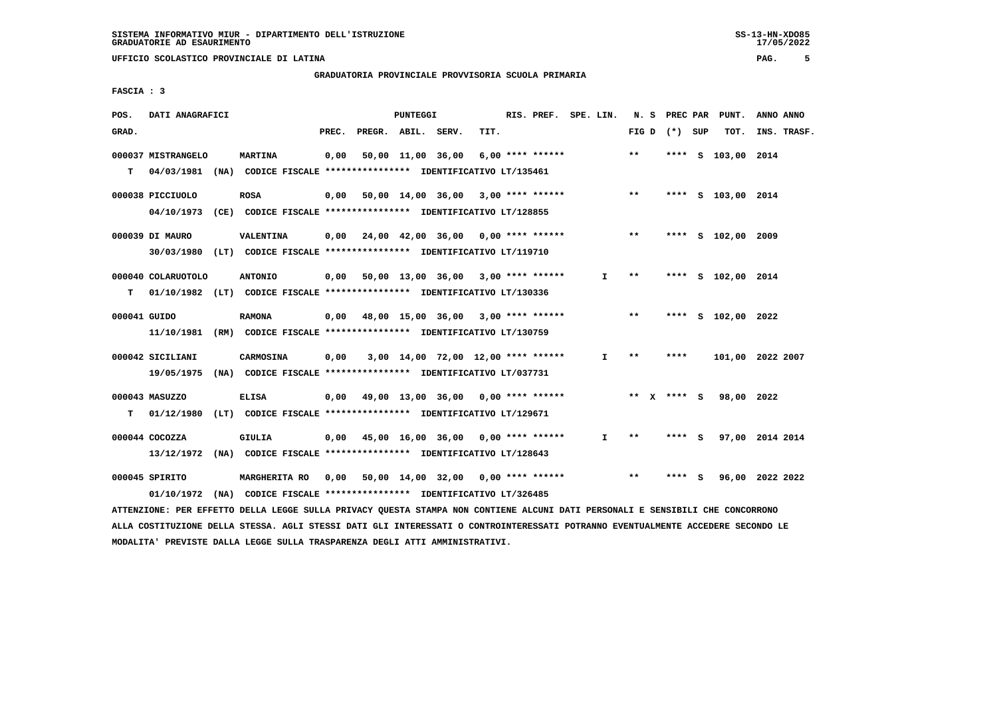**GRADUATORIA PROVINCIALE PROVVISORIA SCUOLA PRIMARIA**

 **FASCIA : 3**

| POS.         | DATI ANAGRAFICI                                                                                                               |                  |       | PUNTEGGI |                                                                 |      | RIS. PREF. SPE. LIN. |              |       |                 | N. S PREC PAR PUNT.    | ANNO ANNO |             |
|--------------|-------------------------------------------------------------------------------------------------------------------------------|------------------|-------|----------|-----------------------------------------------------------------|------|----------------------|--------------|-------|-----------------|------------------------|-----------|-------------|
| GRAD.        |                                                                                                                               |                  | PREC. |          | PREGR. ABIL. SERV.                                              | TIT. |                      |              |       | FIG D $(*)$ SUP | тот.                   |           | INS. TRASF. |
|              | 000037 MISTRANGELO                                                                                                            | <b>MARTINA</b>   | 0,00  |          | 50,00 11,00 36,00                                               |      | 6,00 **** ******     |              | $* *$ |                 | **** S 103,00 2014     |           |             |
| т            | 04/03/1981 (NA) CODICE FISCALE *************** IDENTIFICATIVO LT/135461                                                       |                  |       |          |                                                                 |      |                      |              |       |                 |                        |           |             |
|              | 000038 PICCIUOLO                                                                                                              | <b>ROSA</b>      |       |          | $0,00$ 50,00 14,00 36,00 3,00 **** ******                       |      |                      |              | $***$ |                 | **** S 103,00 2014     |           |             |
|              | 04/10/1973 (CE) CODICE FISCALE *************** IDENTIFICATIVO LT/128855                                                       |                  |       |          |                                                                 |      |                      |              |       |                 |                        |           |             |
|              | 000039 DI MAURO                                                                                                               | <b>VALENTINA</b> |       |          | $0,00$ $24,00$ $42,00$ $36,00$ $0,00$ $***$ **** ******         |      |                      |              | $***$ |                 | **** S 102,00 2009     |           |             |
|              | 30/03/1980 (LT) CODICE FISCALE *************** IDENTIFICATIVO LT/119710                                                       |                  |       |          |                                                                 |      |                      |              |       |                 |                        |           |             |
|              | 000040 COLARUOTOLO                                                                                                            | <b>ANTONIO</b>   |       |          | 0,00 50,00 13,00 36,00 3,00 **** ******                         |      |                      | $\mathbf{I}$ | $***$ |                 | **** S 102,00 2014     |           |             |
| т            | 01/10/1982 (LT) CODICE FISCALE *************** IDENTIFICATIVO LT/130336                                                       |                  |       |          |                                                                 |      |                      |              |       |                 |                        |           |             |
| 000041 GUIDO |                                                                                                                               | <b>RAMONA</b>    |       |          | $0,00$ 48,00 15,00 36,00 3,00 **** ******                       |      |                      |              | $***$ |                 | **** S 102,00 2022     |           |             |
|              | 11/10/1981 (RM) CODICE FISCALE *************** IDENTIFICATIVO LT/130759                                                       |                  |       |          |                                                                 |      |                      |              |       |                 |                        |           |             |
|              | 000042 SICILIANI                                                                                                              | CARMOSINA        |       |          | $0,00$ $3,00$ $14,00$ $72,00$ $12,00$ $***$ **** *****          |      |                      | $\mathbf{I}$ | $***$ | ****            | 101,00 2022 2007       |           |             |
|              | 19/05/1975 (NA) CODICE FISCALE **************** IDENTIFICATIVO LT/037731                                                      |                  |       |          |                                                                 |      |                      |              |       |                 |                        |           |             |
|              | 000043 MASUZZO                                                                                                                | ELISA            |       |          | $0,00$ 49,00 13,00 36,00 0,00 **** ******                       |      |                      | ** x **** S  |       |                 | 98,00 2022             |           |             |
| T.           | 01/12/1980 (LT) CODICE FISCALE **************** IDENTIFICATIVO LT/129671                                                      |                  |       |          |                                                                 |      |                      |              |       |                 |                        |           |             |
|              | $000044$ COCOZZA                                                                                                              | GIULIA           |       |          | $0,00$ 45,00 16,00 36,00 0,00 **** ******                       |      |                      | $\mathbf{I}$ | $* *$ | **** S          | 97,00 2014 2014        |           |             |
|              | 13/12/1972 (NA) CODICE FISCALE *************** IDENTIFICATIVO LT/128643                                                       |                  |       |          |                                                                 |      |                      |              |       |                 |                        |           |             |
|              | 000045 SPIRITO                                                                                                                |                  |       |          | MARGHERITA RO 0,00 50,00 14,00 32,00 0,00 **** ****** ***** *** |      |                      |              |       |                 | **** S 96,00 2022 2022 |           |             |
|              | 01/10/1972                                                                                                                    |                  |       |          | (NA) CODICE FISCALE **************** IDENTIFICATIVO LT/326485   |      |                      |              |       |                 |                        |           |             |
|              | ATTENZIONE: PER EFFETTO DELLA LEGGE SULLA PRIVACY QUESTA STAMPA NON CONTIENE ALCUNI DATI PERSONALI E SENSIBILI CHE CONCORRONO |                  |       |          |                                                                 |      |                      |              |       |                 |                        |           |             |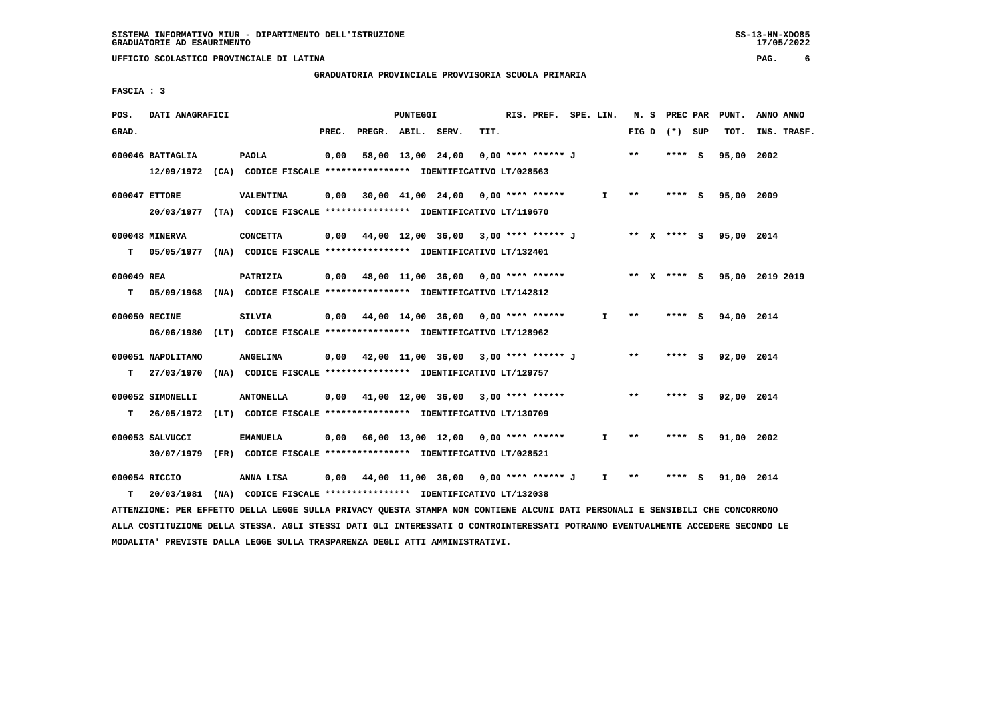# **GRADUATORIA PROVINCIALE PROVVISORIA SCUOLA PRIMARIA**

 **FASCIA : 3**

| POS.       | DATI ANAGRAFICI                                                                              |                  |       |                    | <b>PUNTEGGI</b> |                                                                                                              |      | RIS. PREF. SPE. LIN. |              |       | N. S PREC PAR   | PUNT.      | ANNO ANNO       |
|------------|----------------------------------------------------------------------------------------------|------------------|-------|--------------------|-----------------|--------------------------------------------------------------------------------------------------------------|------|----------------------|--------------|-------|-----------------|------------|-----------------|
| GRAD.      |                                                                                              |                  | PREC. | PREGR. ABIL. SERV. |                 |                                                                                                              | TIT. |                      |              |       | FIG D $(*)$ SUP | тот.       | INS. TRASF.     |
|            | 000046 BATTAGLIA<br>12/09/1972 (CA) CODICE FISCALE *************** IDENTIFICATIVO LT/028563  | <b>PAOLA</b>     | 0,00  |                    |                 | 58,00 13,00 24,00                                                                                            |      | 0,00 **** ****** J   |              | $* *$ | $***$ S         | 95,00 2002 |                 |
|            | 000047 ETTORE<br>20/03/1977 (TA) CODICE FISCALE *************** IDENTIFICATIVO LT/119670     | VALENTINA        |       |                    |                 | $0,00$ 30,00 41,00 24,00 0,00 **** ******                                                                    |      |                      | $\mathbf{I}$ | $***$ | $***$ S         | 95,00 2009 |                 |
| т          | 000048 MINERVA<br>05/05/1977 (NA) CODICE FISCALE *************** IDENTIFICATIVO LT/132401    | <b>CONCETTA</b>  |       |                    |                 | 0,00 44,00 12,00 36,00 3,00 **** ****** J ** X **** S 95,00 2014                                             |      |                      |              |       |                 |            |                 |
| 000049 REA | T 05/09/1968 (NA) CODICE FISCALE *************** IDENTIFICATIVO LT/142812                    | PATRIZIA         |       |                    |                 | $0,00$ 48,00 11,00 36,00 0,00 **** ******                                                                    |      |                      | ** x **** s  |       |                 |            | 95,00 2019 2019 |
|            | 000050 RECINE<br>06/06/1980 (LT) CODICE FISCALE *************** IDENTIFICATIVO LT/128962     | <b>SILVIA</b>    |       |                    |                 | 0,00 44,00 14,00 36,00 0,00 **** ******                                                                      |      |                      | $\mathbf{I}$ | $* *$ | $***$ S         | 94,00 2014 |                 |
| т          | 000051 NAPOLITANO<br>27/03/1970 (NA) CODICE FISCALE *************** IDENTIFICATIVO LT/129757 | <b>ANGELINA</b>  |       |                    |                 | $0,00$ 42,00 11,00 36,00 3,00 **** ****** J                                                                  |      |                      |              | $***$ | $***5$          | 92,00 2014 |                 |
| т          | 000052 SIMONELLI<br>26/05/1972 (LT) CODICE FISCALE **************** IDENTIFICATIVO LT/130709 | <b>ANTONELLA</b> |       |                    |                 | $0.00$ 41.00 12.00 36.00 3.00 **** ******                                                                    |      |                      |              | $* *$ | $***$ S         | 92,00 2014 |                 |
|            | 000053 SALVUCCI<br>30/07/1979 (FR) CODICE FISCALE *************** IDENTIFICATIVO LT/028521   | <b>EMANUELA</b>  |       |                    |                 | $0,00$ 66,00 13,00 12,00 0,00 **** ******                                                                    |      |                      | $\mathbf{I}$ | $* *$ | $***$ S         | 91,00 2002 |                 |
| т          | 000054 RICCIO<br>20/03/1981                                                                  | ANNA LISA        |       |                    |                 | $0,00$ 44,00 11,00 36,00 0,00 **** ****** J<br>(NA) CODICE FISCALE **************** IDENTIFICATIVO LT/132038 |      |                      | $\mathbf{I}$ | **    | **** S          | 91,00 2014 |                 |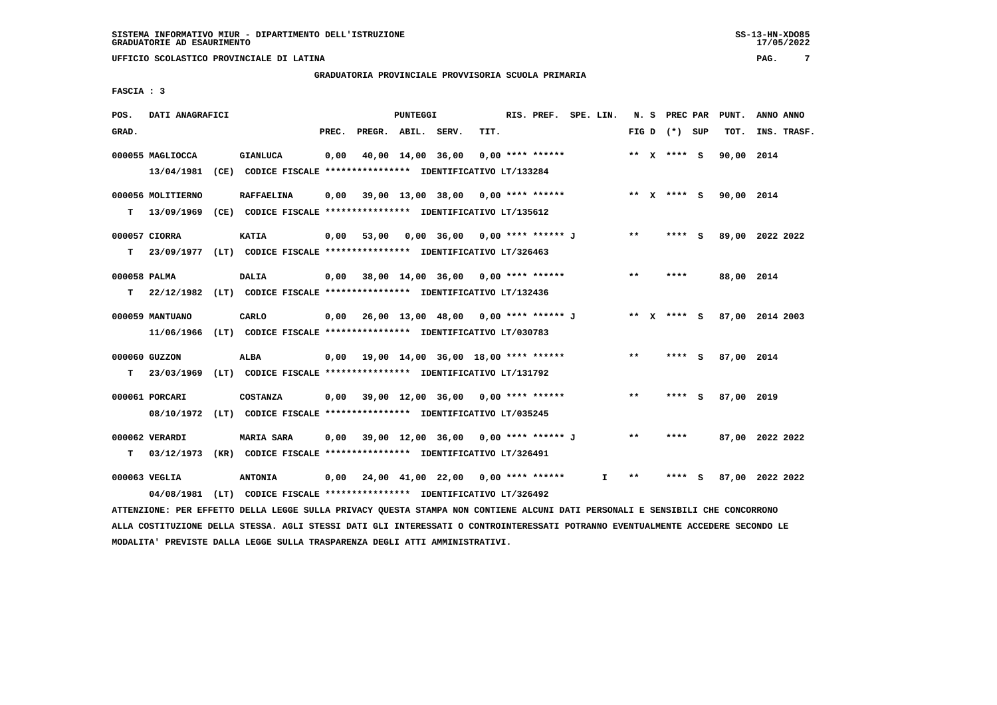# **GRADUATORIA PROVINCIALE PROVVISORIA SCUOLA PRIMARIA**

 **FASCIA : 3**

| POS.         | DATI ANAGRAFICI   |                                                                                                                               |       |                                                   | PUNTEGGI |                                      |      | RIS. PREF. SPE. LIN. |    |       | N. S PREC PAR   | PUNT.                  | ANNO ANNO                   |
|--------------|-------------------|-------------------------------------------------------------------------------------------------------------------------------|-------|---------------------------------------------------|----------|--------------------------------------|------|----------------------|----|-------|-----------------|------------------------|-----------------------------|
| GRAD.        |                   |                                                                                                                               | PREC. | PREGR. ABIL. SERV.                                |          |                                      | TIT. |                      |    |       | FIG D $(*)$ SUP | тот.                   | INS. TRASF.                 |
|              | 000055 MAGLIOCCA  | <b>GIANLUCA</b>                                                                                                               | 0,00  |                                                   |          | 40,00 14,00 36,00                    |      | $0.00$ **** ******   |    |       | ** x **** S     | 90,00 2014             |                             |
|              |                   | 13/04/1981 (CE) CODICE FISCALE **************** IDENTIFICATIVO LT/133284                                                      |       |                                                   |          |                                      |      |                      |    |       |                 |                        |                             |
|              | 000056 MOLITIERNO | <b>RAFFAELINA</b>                                                                                                             |       | 0,00 39,00 13,00 38,00 0,00 **** ******           |          |                                      |      |                      |    |       |                 | ** x **** s 90,00 2014 |                             |
| т            |                   | 13/09/1969 (CE) CODICE FISCALE **************** IDENTIFICATIVO LT/135612                                                      |       |                                                   |          |                                      |      |                      |    |       |                 |                        |                             |
|              | 000057 CIORRA     | <b>KATIA</b>                                                                                                                  | 0,00  |                                                   |          | 53,00 0,00 36,00 0,00 **** ****** J  |      |                      |    | $***$ | **** S          |                        | 89,00 2022 2022             |
| т            |                   | 23/09/1977 (LT) CODICE FISCALE *************** IDENTIFICATIVO LT/326463                                                       |       |                                                   |          |                                      |      |                      |    |       |                 |                        |                             |
| 000058 PALMA |                   | <b>DALIA</b>                                                                                                                  |       | $0,00$ 38,00 14,00 36,00 0,00 **** ******         |          |                                      |      |                      |    | $* *$ | ****            | 88,00 2014             |                             |
| т            |                   | 22/12/1982 (LT) CODICE FISCALE **************** IDENTIFICATIVO LT/132436                                                      |       |                                                   |          |                                      |      |                      |    |       |                 |                        |                             |
|              | 000059 MANTUANO   | CARLO                                                                                                                         |       | $0,00$ 26,00 13,00 48,00 0,00 **** ****** J       |          |                                      |      |                      |    |       |                 |                        | ** X **** S 87,00 2014 2003 |
|              |                   | 11/06/1966 (LT) CODICE FISCALE *************** IDENTIFICATIVO LT/030783                                                       |       |                                                   |          |                                      |      |                      |    |       |                 |                        |                             |
|              | 000060 GUZZON     | ALBA                                                                                                                          |       | $0,00$ 19,00 14,00 36,00 18,00 **** ******        |          |                                      |      |                      |    | $* *$ | **** S          | 87,00 2014             |                             |
| т            |                   | 23/03/1969 (LT) CODICE FISCALE **************** IDENTIFICATIVO LT/131792                                                      |       |                                                   |          |                                      |      |                      |    |       |                 |                        |                             |
|              | 000061 PORCARI    | <b>COSTANZA</b>                                                                                                               | 0,00  |                                                   |          | $39,00$ 12,00 36,00 0,00 **** ****** |      |                      |    | **    | **** S          | 87,00 2019             |                             |
|              |                   | 08/10/1972 (LT) CODICE FISCALE *************** IDENTIFICATIVO LT/035245                                                       |       |                                                   |          |                                      |      |                      |    |       |                 |                        |                             |
|              | 000062 VERARDI    | <b>MARIA SARA</b>                                                                                                             |       | $0,00$ 39,00 12,00 36,00 0,00 **** ****** J       |          |                                      |      |                      |    | $***$ | ****            |                        | 87,00 2022 2022             |
| т            |                   | 03/12/1973 (KR) CODICE FISCALE *************** IDENTIFICATIVO LT/326491                                                       |       |                                                   |          |                                      |      |                      |    |       |                 |                        |                             |
|              | 000063 VEGLIA     | <b>ANTONIA</b>                                                                                                                |       | $0,00$ $24,00$ $41,00$ $22,00$ $0,00$ **** ****** |          |                                      |      |                      | I. | $***$ | **** S          |                        | 87,00 2022 2022             |
|              | 04/08/1981        | (LT) CODICE FISCALE **************** IDENTIFICATIVO LT/326492                                                                 |       |                                                   |          |                                      |      |                      |    |       |                 |                        |                             |
|              |                   | ATTENZIONE: PER EFFETTO DELLA LEGGE SULLA PRIVACY OUESTA STAMPA NON CONTIENE ALCUNI DATI PERSONALI E SENSIBILI CHE CONCORRONO |       |                                                   |          |                                      |      |                      |    |       |                 |                        |                             |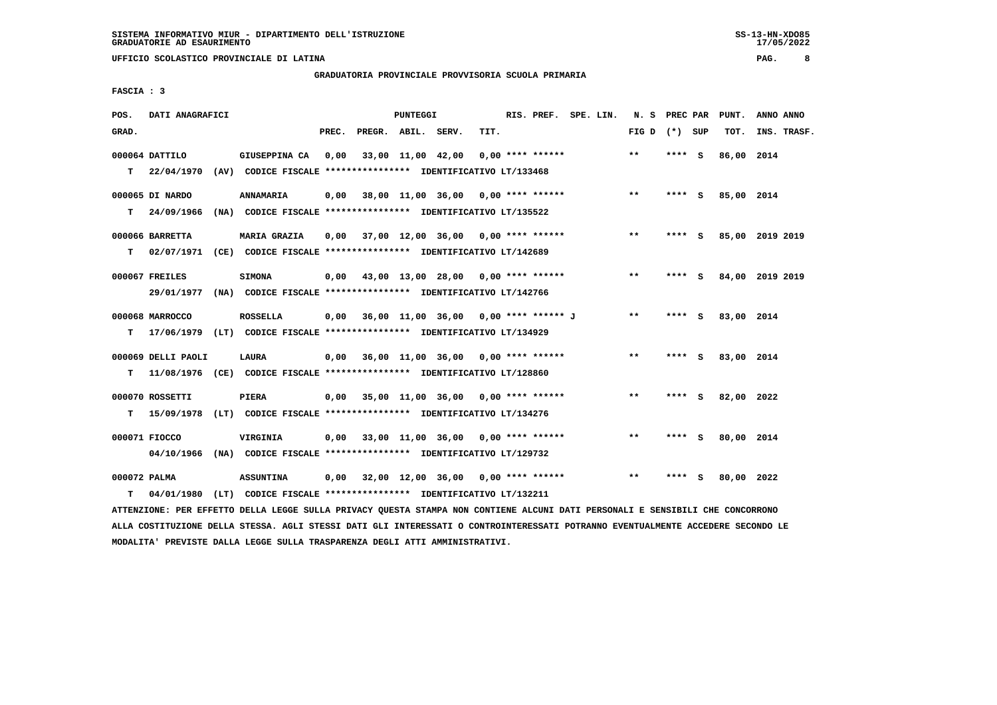**GRADUATORIA PROVINCIALE PROVVISORIA SCUOLA PRIMARIA**

 **FASCIA : 3**

| POS.         | DATI ANAGRAFICI    |                                                                          |       |                                           | PUNTEGGI |      |                    | RIS. PREF. SPE. LIN.                        | N. S PREC PAR |         |          | PUNT.      | ANNO ANNO       |
|--------------|--------------------|--------------------------------------------------------------------------|-------|-------------------------------------------|----------|------|--------------------|---------------------------------------------|---------------|---------|----------|------------|-----------------|
| GRAD.        |                    |                                                                          | PREC. | PREGR. ABIL. SERV.                        |          | TIT. |                    |                                             | FIG D         | (*) SUP |          | TOT.       | INS. TRASF.     |
|              |                    |                                                                          |       |                                           |          |      |                    |                                             |               |         |          |            |                 |
|              | 000064 DATTILO     | GIUSEPPINA CA                                                            | 0,00  | 33,00 11,00 42,00                         |          |      | $0.00$ **** ****** |                                             | $***$         | **** S  |          | 86,00 2014 |                 |
| T.           | 22/04/1970         | (AV) CODICE FISCALE **************** IDENTIFICATIVO LT/133468            |       |                                           |          |      |                    |                                             |               |         |          |            |                 |
|              |                    |                                                                          |       |                                           |          |      |                    |                                             |               |         |          |            |                 |
|              | 000065 DI NARDO    | <b>ANNAMARIA</b>                                                         |       | $0,00$ 38,00 11,00 36,00 0,00 **** ****** |          |      |                    |                                             | $***$         | $***$ S |          | 85,00 2014 |                 |
| т            | 24/09/1966         | (NA) CODICE FISCALE **************** IDENTIFICATIVO LT/135522            |       |                                           |          |      |                    |                                             |               |         |          |            |                 |
|              |                    |                                                                          |       |                                           |          |      |                    |                                             |               |         |          |            |                 |
|              | 000066 BARRETTA    | <b>MARIA GRAZIA</b>                                                      | 0.00  | 37,00 12,00 36,00 0,00 **** ******        |          |      |                    |                                             | $***$         | **** S  |          |            | 85,00 2019 2019 |
| т            |                    | 02/07/1971 (CE) CODICE FISCALE *************** IDENTIFICATIVO LT/142689  |       |                                           |          |      |                    |                                             |               |         |          |            |                 |
|              |                    |                                                                          |       |                                           |          |      |                    |                                             |               |         |          |            |                 |
|              | 000067 FREILES     | <b>SIMONA</b>                                                            |       | $0,00$ 43,00 13,00 28,00 0,00 **** ****** |          |      |                    |                                             | $***$         | **** S  |          |            | 84,00 2019 2019 |
|              |                    | 29/01/1977 (NA) CODICE FISCALE *************** IDENTIFICATIVO LT/142766  |       |                                           |          |      |                    |                                             |               |         |          |            |                 |
|              |                    |                                                                          |       |                                           |          |      |                    |                                             |               |         |          |            |                 |
|              | 000068 MARROCCO    | <b>ROSSELLA</b>                                                          |       |                                           |          |      |                    | $0,00$ 36,00 11,00 36,00 0,00 **** ****** J | $* *$         | **** S  |          | 83,00 2014 |                 |
|              |                    |                                                                          |       |                                           |          |      |                    |                                             |               |         |          |            |                 |
| т            |                    | 17/06/1979 (LT) CODICE FISCALE *************** IDENTIFICATIVO LT/134929  |       |                                           |          |      |                    |                                             |               |         |          |            |                 |
|              | 000069 DELLI PAOLI |                                                                          |       | $0,00$ 36,00 11,00 36,00 0,00 **** ****** |          |      |                    |                                             | $***$         | **** S  |          | 83,00 2014 |                 |
|              |                    | LAURA                                                                    |       |                                           |          |      |                    |                                             |               |         |          |            |                 |
| т            |                    | 11/08/1976 (CE) CODICE FISCALE **************** IDENTIFICATIVO LT/128860 |       |                                           |          |      |                    |                                             |               |         |          |            |                 |
|              |                    |                                                                          |       |                                           |          |      |                    |                                             |               |         |          |            |                 |
|              | 000070 ROSSETTI    | PIERA                                                                    |       | 0,00 35,00 11,00 36,00                    |          |      | $0.00$ **** ****** |                                             | $* *$         | ****    | <b>S</b> | 82,00 2022 |                 |
| т            |                    | 15/09/1978 (LT) CODICE FISCALE *************** IDENTIFICATIVO LT/134276  |       |                                           |          |      |                    |                                             |               |         |          |            |                 |
|              |                    |                                                                          |       |                                           |          |      |                    |                                             |               |         |          |            |                 |
|              | 000071 FIOCCO      | VIRGINIA                                                                 |       | $0.00$ 33.00 11.00 36.00 0.00 **** ****** |          |      |                    |                                             | $**$          | ****    | - S      | 80,00 2014 |                 |
|              |                    | 04/10/1966 (NA) CODICE FISCALE **************** IDENTIFICATIVO LT/129732 |       |                                           |          |      |                    |                                             |               |         |          |            |                 |
|              |                    |                                                                          |       |                                           |          |      |                    |                                             |               |         |          |            |                 |
| 000072 PALMA |                    | <b>ASSUNTINA</b>                                                         | 0,00  | 32,00 12,00 36,00 0,00 **** ******        |          |      |                    |                                             | **            | ****    | S        | 80,00 2022 |                 |
| т            | 04/01/1980         | (LT) CODICE FISCALE **************** IDENTIFICATIVO LT/132211            |       |                                           |          |      |                    |                                             |               |         |          |            |                 |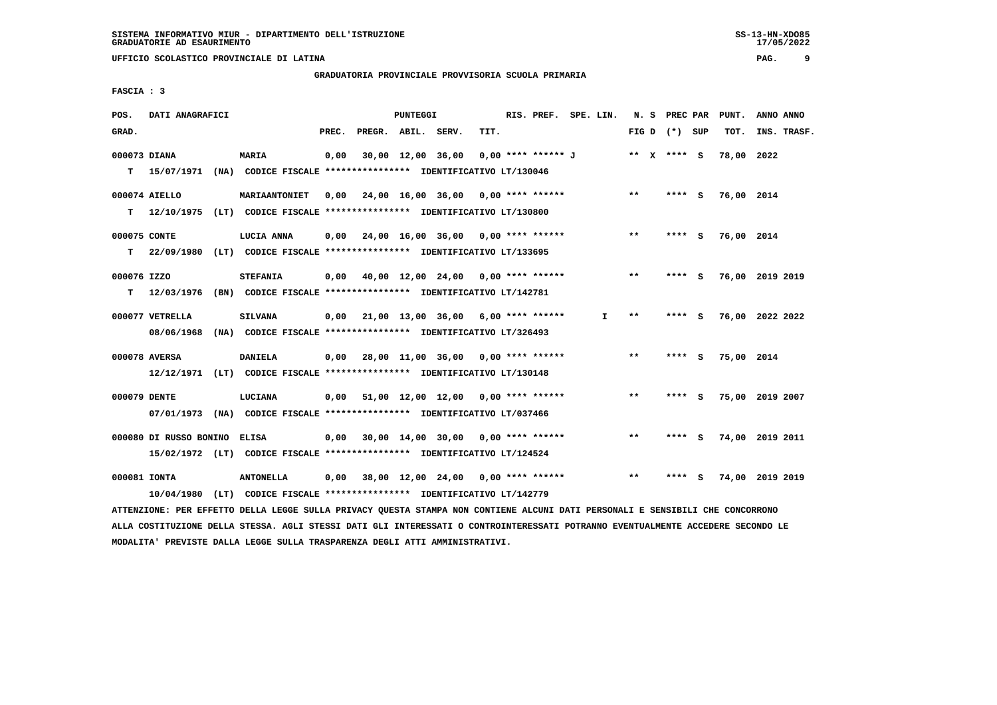**GRADUATORIA PROVINCIALE PROVVISORIA SCUOLA PRIMARIA**

 **FASCIA : 3**

| POS.         | DATI ANAGRAFICI                                                                           |                  |       |                    | PUNTEGGI |                                                         |      | RIS. PREF. SPE. LIN. |    |       | N. S PREC PAR   |     | PUNT.           | ANNO ANNO |             |
|--------------|-------------------------------------------------------------------------------------------|------------------|-------|--------------------|----------|---------------------------------------------------------|------|----------------------|----|-------|-----------------|-----|-----------------|-----------|-------------|
| GRAD.        |                                                                                           |                  | PREC. | PREGR. ABIL. SERV. |          |                                                         | TIT. |                      |    |       | FIG D $(*)$ SUP |     | TOT.            |           | INS. TRASF. |
| 000073 DIANA |                                                                                           | <b>MARIA</b>     | 0,00  |                    |          | 30,00 12,00 36,00                                       |      | 0,00 **** ****** J   |    |       | ** x **** s     |     | 78,00 2022      |           |             |
|              | T 15/07/1971 (NA) CODICE FISCALE *************** IDENTIFICATIVO LT/130046                 |                  |       |                    |          |                                                         |      |                      |    |       |                 |     |                 |           |             |
|              | 000074 AIELLO                                                                             | MARIAANTONIET    | 0,00  |                    |          | 24,00 16,00 36,00 0,00 **** ******                      |      |                      |    | $***$ | $***$ S         |     | 76,00 2014      |           |             |
| T.           | 12/10/1975 (LT) CODICE FISCALE *************** IDENTIFICATIVO LT/130800                   |                  |       |                    |          |                                                         |      |                      |    |       |                 |     |                 |           |             |
| 000075 CONTE |                                                                                           | LUCIA ANNA       |       |                    |          | $0,00$ 24,00 16,00 36,00 0,00 **** ******               |      |                      |    | $***$ | **** S          |     | 76,00 2014      |           |             |
| т            | 22/09/1980 (LT) CODICE FISCALE *************** IDENTIFICATIVO LT/133695                   |                  |       |                    |          |                                                         |      |                      |    |       |                 |     |                 |           |             |
| 000076 IZZO  |                                                                                           | <b>STEFANIA</b>  |       |                    |          | $0,00$ $40,00$ $12,00$ $24,00$ $0,00$ **** ******       |      |                      |    | $**$  | **** S          |     | 76,00 2019 2019 |           |             |
| T.           | 12/03/1976 (BN) CODICE FISCALE **************** IDENTIFICATIVO LT/142781                  |                  |       |                    |          |                                                         |      |                      |    |       |                 |     |                 |           |             |
|              | 000077 VETRELLA                                                                           | SILVANA          |       |                    |          | $0.00$ $21.00$ $13.00$ $36.00$ $6.00$ $***$ **** ****** |      |                      | I. | $* *$ | **** S          |     | 76,00 2022 2022 |           |             |
|              | 08/06/1968 (NA) CODICE FISCALE *************** IDENTIFICATIVO LT/326493                   |                  |       |                    |          |                                                         |      |                      |    |       |                 |     |                 |           |             |
|              |                                                                                           |                  |       |                    |          |                                                         |      |                      |    | $* *$ | **** S          |     | 75,00 2014      |           |             |
|              | 000078 AVERSA<br>12/12/1971 (LT) CODICE FISCALE **************** IDENTIFICATIVO LT/130148 | <b>DANIELA</b>   |       |                    |          | $0,00$ 28,00 11,00 36,00 0,00 **** ******               |      |                      |    |       |                 |     |                 |           |             |
|              |                                                                                           |                  |       |                    |          |                                                         |      |                      |    |       |                 |     |                 |           |             |
| 000079 DENTE |                                                                                           | LUCIANA          |       |                    |          | $0,00$ 51,00 12,00 12,00 0,00 **** ******               |      |                      |    | $***$ | **** S          |     | 75,00 2019 2007 |           |             |
|              | 07/01/1973 (NA) CODICE FISCALE *************** IDENTIFICATIVO LT/037466                   |                  |       |                    |          |                                                         |      |                      |    |       |                 |     |                 |           |             |
|              | 000080 DI RUSSO BONINO                                                                    | <b>ELISA</b>     |       |                    |          | $0.00$ 30.00 14.00 30.00 0.00 **** ******               |      |                      |    | **    | **** S          |     | 74,00 2019 2011 |           |             |
|              | 15/02/1972 (LT) CODICE FISCALE **************** IDENTIFICATIVO LT/124524                  |                  |       |                    |          |                                                         |      |                      |    |       |                 |     |                 |           |             |
|              | 000081 IONTA                                                                              | <b>ANTONELLA</b> |       |                    |          | $0,00$ 38,00 12,00 24,00 0,00 **** ******               |      |                      |    | **    | ****            | - S | 74,00 2019 2019 |           |             |
|              | 10/04/1980 (LT) CODICE FISCALE *************** IDENTIFICATIVO LT/142779                   |                  |       |                    |          |                                                         |      |                      |    |       |                 |     |                 |           |             |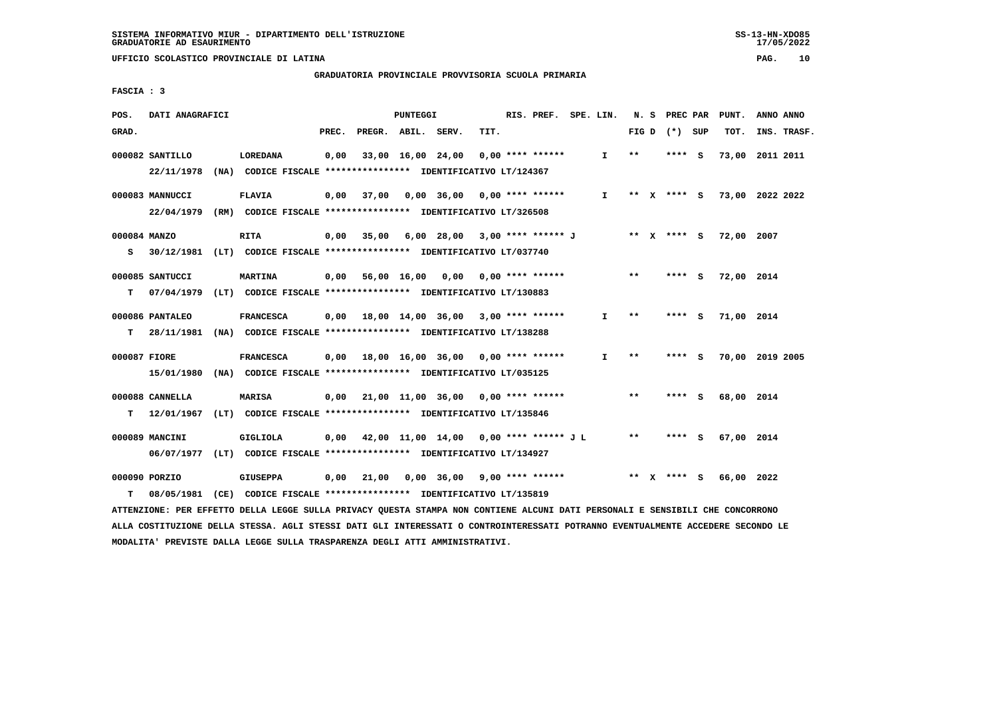# **GRADUATORIA PROVINCIALE PROVVISORIA SCUOLA PRIMARIA**

 **FASCIA : 3**

| POS.              | DATI ANAGRAFICI               |      |                                                                                             |       |                                               | PUNTEGGI          |                                           |      | RIS. PREF. SPE. LIN. |              |       | N. S PREC PAR | PUNT.      | ANNO ANNO                   |
|-------------------|-------------------------------|------|---------------------------------------------------------------------------------------------|-------|-----------------------------------------------|-------------------|-------------------------------------------|------|----------------------|--------------|-------|---------------|------------|-----------------------------|
| GRAD.             |                               |      |                                                                                             | PREC. | PREGR. ABIL. SERV.                            |                   |                                           | TIT. |                      |              | FIG D | (*) SUP       | TOT.       | INS. TRASF.                 |
|                   | 000082 SANTILLO<br>22/11/1978 |      | LOREDANA<br>(NA) CODICE FISCALE **************** IDENTIFICATIVO LT/124367                   | 0,00  |                                               | 33,00 16,00 24,00 |                                           |      | $0.00$ **** ******   | $\mathbf{I}$ | $***$ | **** S        | 73,00      | 2011 2011                   |
|                   | 000083 MANNUCCI               |      | <b>FLAVIA</b><br>22/04/1979 (RM) CODICE FISCALE *************** IDENTIFICATIVO LT/326508    | 0.00  | 37,00                                         |                   | 0,00 36,00 0,00 **** ******               |      |                      | $\mathbf{I}$ |       |               |            | ** X **** S 73,00 2022 2022 |
| 000084 MANZO<br>s |                               |      | <b>RITA</b><br>30/12/1981 (LT) CODICE FISCALE *************** IDENTIFICATIVO LT/037740      |       | $0,00$ 35,00                                  |                   | 6,00 28,00 3,00 **** ****** J ** X **** S |      |                      |              |       |               | 72,00 2007 |                             |
| т                 | 000085 SANTUCCI               |      | <b>MARTINA</b><br>07/04/1979 (LT) CODICE FISCALE *************** IDENTIFICATIVO LT/130883   |       | $0,00$ 56,00 16,00 0,00 0,00 **** ******      |                   |                                           |      |                      |              | $* *$ | **** S        | 72,00 2014 |                             |
| т                 | 000086 PANTALEO               |      | <b>FRANCESCA</b><br>28/11/1981 (NA) CODICE FISCALE *************** IDENTIFICATIVO LT/138288 |       | $0,00$ 18,00 14,00 36,00 3,00 **** ******     |                   |                                           |      |                      | $\mathbf{I}$ | $***$ | **** S        | 71,00 2014 |                             |
| 000087 FIORE      | 15/01/1980                    | (NA) | <b>FRANCESCA</b><br>CODICE FISCALE **************** IDENTIFICATIVO LT/035125                | 0,00  | 18,00 16,00 36,00 0,00 **** ******            |                   |                                           |      |                      | $\mathbf{I}$ | $**$  | **** S        |            | 70,00 2019 2005             |
| т                 | 000088 CANNELLA               |      | <b>MARISA</b><br>12/01/1967 (LT) CODICE FISCALE *************** IDENTIFICATIVO LT/135846    | 0,00  | 21,00 11,00 36,00 0,00 **** ******            |                   |                                           |      |                      |              | $***$ | **** S        | 68,00 2014 |                             |
|                   | 000089 MANCINI                |      | <b>GIGLIOLA</b><br>06/07/1977 (LT) CODICE FISCALE *************** IDENTIFICATIVO LT/134927  |       | $0,00$ 42,00 11,00 14,00 0,00 **** ****** J L |                   |                                           |      |                      |              | $* *$ | **** S        | 67,00 2014 |                             |
| т                 | 000090 PORZIO                 |      | <b>GIUSEPPA</b><br>08/05/1981 (CE) CODICE FISCALE *************** IDENTIFICATIVO LT/135819  | 0,00  | 21,00                                         |                   | 0,00 36,00 9,00 **** ******               |      |                      |              |       | ** $X$ **** S | 66,00 2022 |                             |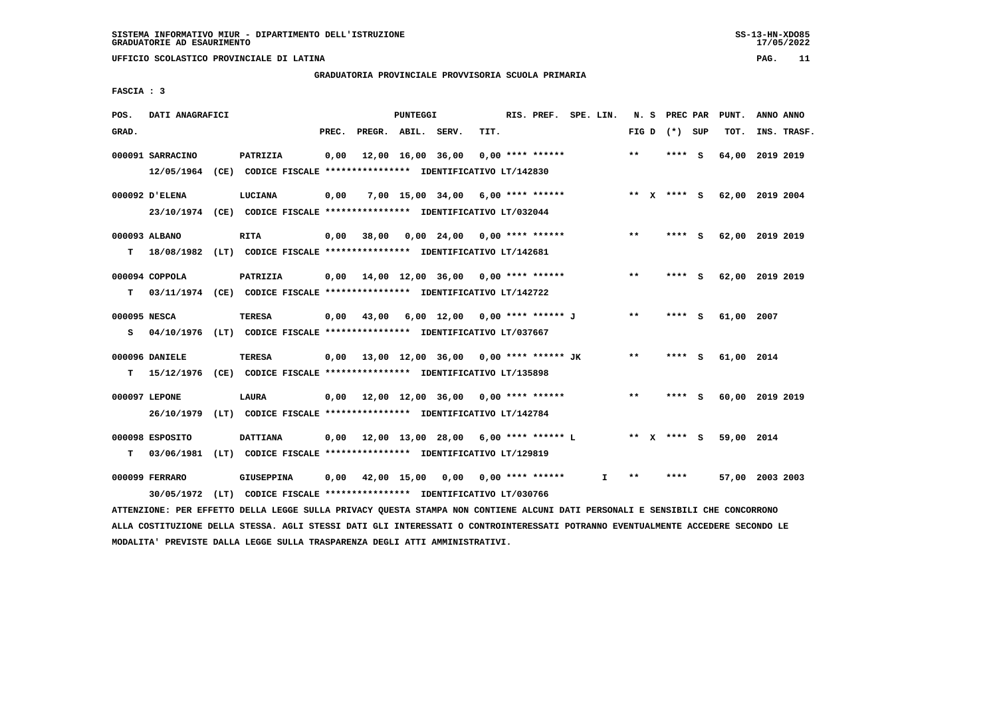# **GRADUATORIA PROVINCIALE PROVVISORIA SCUOLA PRIMARIA**

 **FASCIA : 3**

| POS.            | DATI ANAGRAFICI  |                                                                                                                               |       |                    | PUNTEGGI |                                              |      | RIS. PREF. SPE. LIN. |              |       | N. S | PREC PAR        |   | PUNT.           | ANNO ANNO |             |
|-----------------|------------------|-------------------------------------------------------------------------------------------------------------------------------|-------|--------------------|----------|----------------------------------------------|------|----------------------|--------------|-------|------|-----------------|---|-----------------|-----------|-------------|
| GRAD.           |                  |                                                                                                                               | PREC. | PREGR. ABIL. SERV. |          |                                              | TIT. |                      |              |       |      | FIG D $(*)$ SUP |   | TOT.            |           | INS. TRASF. |
|                 | 000091 SARRACINO | PATRIZIA                                                                                                                      | 0,00  |                    |          | 12,00 16,00 36,00                            |      | $0.00$ **** ******   |              | **    |      | ****            | ్ | 64,00 2019 2019 |           |             |
|                 |                  | 12/05/1964 (CE) CODICE FISCALE *************** IDENTIFICATIVO LT/142830                                                       |       |                    |          |                                              |      |                      |              |       |      |                 |   |                 |           |             |
| 000092 D'ELENA  |                  | LUCIANA                                                                                                                       | 0,00  |                    |          | $7,00$ 15,00 34,00 6,00 **** ******          |      |                      |              |       |      | ** x **** S     |   | 62,00 2019 2004 |           |             |
|                 |                  | 23/10/1974 (CE) CODICE FISCALE *************** IDENTIFICATIVO LT/032044                                                       |       |                    |          |                                              |      |                      |              |       |      |                 |   |                 |           |             |
| 000093 ALBANO   |                  | RITA                                                                                                                          | 0,00  | 38,00              |          | 0,00 24,00                                   |      | $0.00$ **** ******   |              | $* *$ |      | $***$ S         |   | 62,00 2019 2019 |           |             |
| т               |                  | 18/08/1982 (LT) CODICE FISCALE **************** IDENTIFICATIVO LT/142681                                                      |       |                    |          |                                              |      |                      |              |       |      |                 |   |                 |           |             |
| 000094 COPPOLA  |                  | PATRIZIA                                                                                                                      |       |                    |          | $0,00$ 14,00 12,00 36,00 0,00 **** ******    |      |                      |              | $***$ |      | **** S          |   | 62,00 2019 2019 |           |             |
| т               |                  | 03/11/1974 (CE) CODICE FISCALE *************** IDENTIFICATIVO LT/142722                                                       |       |                    |          |                                              |      |                      |              |       |      |                 |   |                 |           |             |
| 000095 NESCA    |                  | <b>TERESA</b>                                                                                                                 | 0,00  | 43,00              |          | 6,00 12,00 0,00 **** ****** J                |      |                      |              | $* *$ |      | $***$ S         |   | 61,00 2007      |           |             |
| s               |                  | 04/10/1976 (LT) CODICE FISCALE *************** IDENTIFICATIVO LT/037667                                                       |       |                    |          |                                              |      |                      |              |       |      |                 |   |                 |           |             |
|                 |                  |                                                                                                                               |       |                    |          |                                              |      |                      |              |       |      |                 |   |                 |           |             |
| 000096 DANIELE  |                  | TERESA                                                                                                                        |       |                    |          | $0,00$ 13,00 12,00 36,00 0,00 **** ****** JK |      |                      |              | $* *$ |      | **** S          |   | 61,00 2014      |           |             |
| т               |                  | 15/12/1976 (CE) CODICE FISCALE **************** IDENTIFICATIVO LT/135898                                                      |       |                    |          |                                              |      |                      |              |       |      |                 |   |                 |           |             |
| 000097 LEPONE   |                  | LAURA                                                                                                                         |       |                    |          | $0,00$ 12,00 12,00 36,00 0,00 **** ******    |      |                      |              | $* *$ |      | **** S          |   | 60,00 2019 2019 |           |             |
|                 |                  | 26/10/1979 (LT) CODICE FISCALE *************** IDENTIFICATIVO LT/142784                                                       |       |                    |          |                                              |      |                      |              |       |      |                 |   |                 |           |             |
| 000098 ESPOSITO |                  | <b>DATTIANA</b>                                                                                                               |       |                    |          | $0,00$ 12,00 13,00 28,00 6,00 **** ****** L  |      |                      |              |       |      | ** X **** S     |   | 59,00 2014      |           |             |
| т               |                  | 03/06/1981 (LT) CODICE FISCALE *************** IDENTIFICATIVO LT/129819                                                       |       |                    |          |                                              |      |                      |              |       |      |                 |   |                 |           |             |
| 000099 FERRARO  |                  | <b>GIUSEPPINA</b>                                                                                                             | 0,00  |                    |          | 42,00 15,00 0,00 0,00 **** ******            |      |                      | $\mathbf{I}$ | $***$ |      | ****            |   | 57,00 2003 2003 |           |             |
|                 | 30/05/1972       | (LT) CODICE FISCALE *************** IDENTIFICATIVO LT/030766                                                                  |       |                    |          |                                              |      |                      |              |       |      |                 |   |                 |           |             |
|                 |                  | ATTENZIONE: PER EFFETTO DELLA LEGGE SULLA PRIVACY QUESTA STAMPA NON CONTIENE ALCUNI DATI PERSONALI E SENSIBILI CHE CONCORRONO |       |                    |          |                                              |      |                      |              |       |      |                 |   |                 |           |             |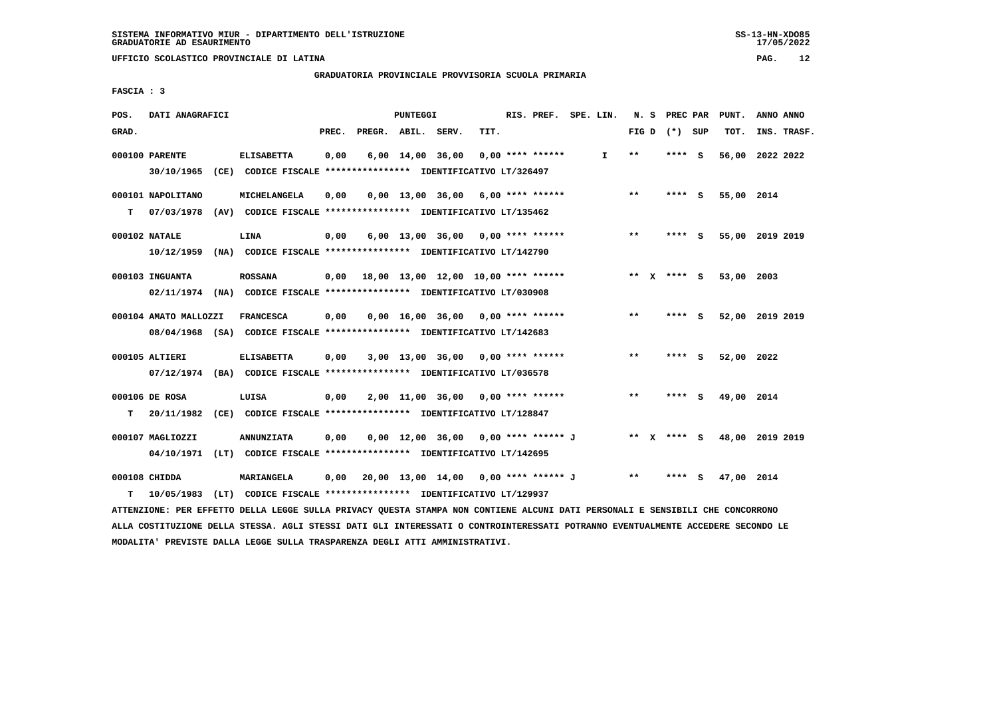**GRADUATORIA PROVINCIALE PROVVISORIA SCUOLA PRIMARIA**

 **FASCIA : 3**

| POS.  | DATI ANAGRAFICI                                                                                  |                   |       |                                          | PUNTEGGI |                                     |      | RIS. PREF. SPE. LIN. |              |         | N. S PREC PAR |          | PUNT.      | ANNO ANNO       |
|-------|--------------------------------------------------------------------------------------------------|-------------------|-------|------------------------------------------|----------|-------------------------------------|------|----------------------|--------------|---------|---------------|----------|------------|-----------------|
| GRAD. |                                                                                                  |                   | PREC. | PREGR. ABIL. SERV.                       |          |                                     | TIT. |                      |              | FIG D   | (*) SUP       |          | TOT.       | INS. TRASF.     |
|       | 000100 PARENTE<br>30/10/1965 (CE) CODICE FISCALE *************** IDENTIFICATIVO LT/326497        | <b>ELISABETTA</b> | 0,00  |                                          |          | $6,00$ $14,00$ $36,00$              |      | $0,00$ **** ******   | $\mathbf{I}$ | $**$    | **** S        |          | 56,00      | 2022 2022       |
| т     | 000101 NAPOLITANO<br>07/03/1978 (AV) CODICE FISCALE *************** IDENTIFICATIVO LT/135462     | MICHELANGELA      | 0,00  |                                          |          | $0,00$ 13,00 36,00 6,00 **** ****** |      |                      |              | $* *$   | $***$ S       |          | 55,00 2014 |                 |
|       | 000102 NATALE<br>10/12/1959 (NA) CODICE FISCALE **************** IDENTIFICATIVO LT/142790        | LINA              | 0,00  |                                          |          | $6,00$ 13,00 36,00 0,00 **** ****** |      |                      |              | $***$   | **** S        |          |            | 55,00 2019 2019 |
|       | 000103 INGUANTA<br>02/11/1974 (NA) CODICE FISCALE *************** IDENTIFICATIVO LT/030908       | <b>ROSSANA</b>    |       | 0,00 18,00 13,00 12,00 10,00 **** ****** |          |                                     |      |                      |              | $***$ X | $***$ S       |          | 53,00 2003 |                 |
|       | 000104 AMATO MALLOZZI<br>08/04/1968 (SA) CODICE FISCALE *************** IDENTIFICATIVO LT/142683 | <b>FRANCESCA</b>  | 0,00  |                                          |          | $0,00$ 16,00 36,00 0,00 **** ****** |      |                      |              | $***$   | **** S        |          |            | 52,00 2019 2019 |
|       | 000105 ALTIERI<br>07/12/1974 (BA) CODICE FISCALE *************** IDENTIFICATIVO LT/036578        | <b>ELISABETTA</b> | 0,00  |                                          |          | $3,00$ 13,00 36,00 0,00 **** ****** |      |                      |              | **      | ****          | - S      | 52,00 2022 |                 |
| т     | 000106 DE ROSA<br>20/11/1982 (CE) CODICE FISCALE **************** IDENTIFICATIVO LT/128847       | LUISA             | 0,00  |                                          |          | $2,00$ 11,00 36,00 0,00 **** ****** |      |                      |              | $***$   | $***$ S       |          | 49,00 2014 |                 |
|       | 000107 MAGLIOZZI<br>04/10/1971 (LT) CODICE FISCALE *************** IDENTIFICATIVO LT/142695      | <b>ANNUNZIATA</b> | 0,00  |                                          |          | 0,00 12,00 36,00 0,00 **** ****** J |      |                      |              |         | ** x **** s   |          |            | 48,00 2019 2019 |
| т     | 000108 CHIDDA<br>10/05/1983 (LT) CODICE FISCALE **************** IDENTIFICATIVO LT/129937        | <b>MARIANGELA</b> | 0,00  | 20,00 13,00 14,00 0,00 **** ****** J     |          |                                     |      |                      |              | $***$   | ****          | <b>S</b> | 47,00 2014 |                 |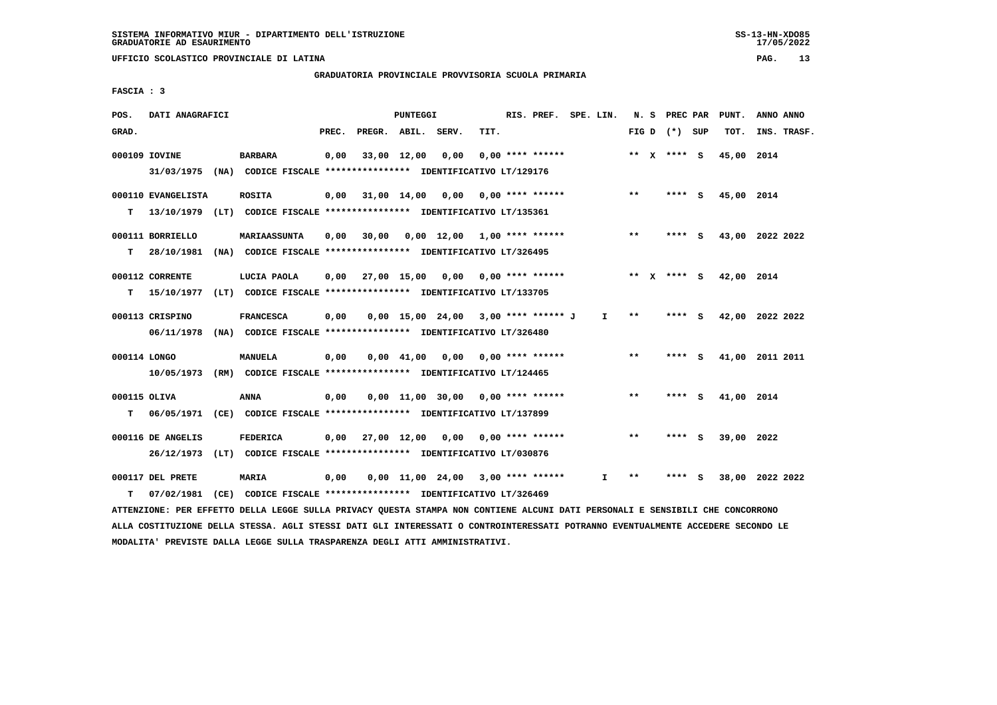**UFFICIO SCOLASTICO PROVINCIALE DI LATINA PAG. 13**

#### **GRADUATORIA PROVINCIALE PROVVISORIA SCUOLA PRIMARIA**

 **FASCIA : 3**

| POS.              | DATI ANAGRAFICI                 |                                                                                             |       |                        | PUNTEGGI    |                                       |      | RIS. PREF. SPE. LIN. |              |         | N. S PREC PAR   |     | PUNT.      | ANNO ANNO       |
|-------------------|---------------------------------|---------------------------------------------------------------------------------------------|-------|------------------------|-------------|---------------------------------------|------|----------------------|--------------|---------|-----------------|-----|------------|-----------------|
| GRAD.             |                                 |                                                                                             | PREC. | PREGR. ABIL. SERV.     |             |                                       | TIT. |                      |              |         | FIG D $(*)$ SUP |     | TOT.       | INS. TRASF.     |
|                   | 000109 IOVINE                   | <b>BARBARA</b><br>31/03/1975 (NA) CODICE FISCALE *************** IDENTIFICATIVO LT/129176   | 0,00  |                        | 33,00 12,00 | 0,00                                  |      | $0.00$ **** ******   |              |         | ** x **** S     |     | 45,00 2014 |                 |
| т                 | 000110 EVANGELISTA              | <b>ROSITA</b><br>13/10/1979 (LT) CODICE FISCALE *************** IDENTIFICATIVO LT/135361    | 0,00  | 31,00 14,00 0,00       |             |                                       |      | $0.00$ **** ******   |              | $***$   | **** S          |     | 45,00 2014 |                 |
| т                 | 000111 BORRIELLO<br>28/10/1981  | <b>MARIAASSUNTA</b><br>(NA) CODICE FISCALE *************** IDENTIFICATIVO LT/326495         | 0,00  | 30,00                  |             | $0.00$ 12.00 1.00 **** ******         |      |                      |              | $***$   | **** S          |     |            | 43,00 2022 2022 |
| т                 | 000112 CORRENTE                 | LUCIA PAOLA<br>15/10/1977 (LT) CODICE FISCALE *************** IDENTIFICATIVO LT/133705      | 0,00  | 27,00 15,00            |             | 0.00                                  |      | $0.00$ **** ******   |              | $***$ X | **** S          |     | 42,00 2014 |                 |
|                   | 000113 CRISPINO                 | <b>FRANCESCA</b><br>06/11/1978 (NA) CODICE FISCALE *************** IDENTIFICATIVO LT/326480 | 0,00  |                        |             | $0,00$ 15,00 24,00 3,00 **** ****** J |      |                      | $\mathbf{I}$ | $* *$   | $***$ S         |     |            | 42,00 2022 2022 |
| 000114 LONGO      |                                 | MANUELA<br>10/05/1973 (RM) CODICE FISCALE **************** IDENTIFICATIVO LT/124465         | 0,00  |                        | 0,00 41,00  | 0,00                                  |      | $0.00$ **** ******   |              | $**$    | **** S          |     |            | 41,00 2011 2011 |
| 000115 OLIVA<br>т |                                 | ANNA<br>06/05/1971 (CE) CODICE FISCALE *************** IDENTIFICATIVO LT/137899             | 0,00  |                        |             | $0,00$ 11,00 30,00 0,00 **** ******   |      |                      |              | $***$   | **** S          |     | 41,00 2014 |                 |
|                   | 000116 DE ANGELIS<br>26/12/1973 | <b>FEDERICA</b><br>(LT) CODICE FISCALE **************** IDENTIFICATIVO LT/030876            |       | $0,00$ $27,00$ $12,00$ |             | 0,00                                  |      | $0.00$ **** ******   |              | $***$   | **** S          |     | 39,00 2022 |                 |
| т                 | 000117 DEL PRETE<br>07/02/1981  | MARIA<br>(CE) CODICE FISCALE **************** IDENTIFICATIVO LT/326469                      | 0,00  |                        |             | $0.00$ 11.00 24.00 3.00 **** ******   |      |                      | I.           | **      | ****            | - 5 |            | 38,00 2022 2022 |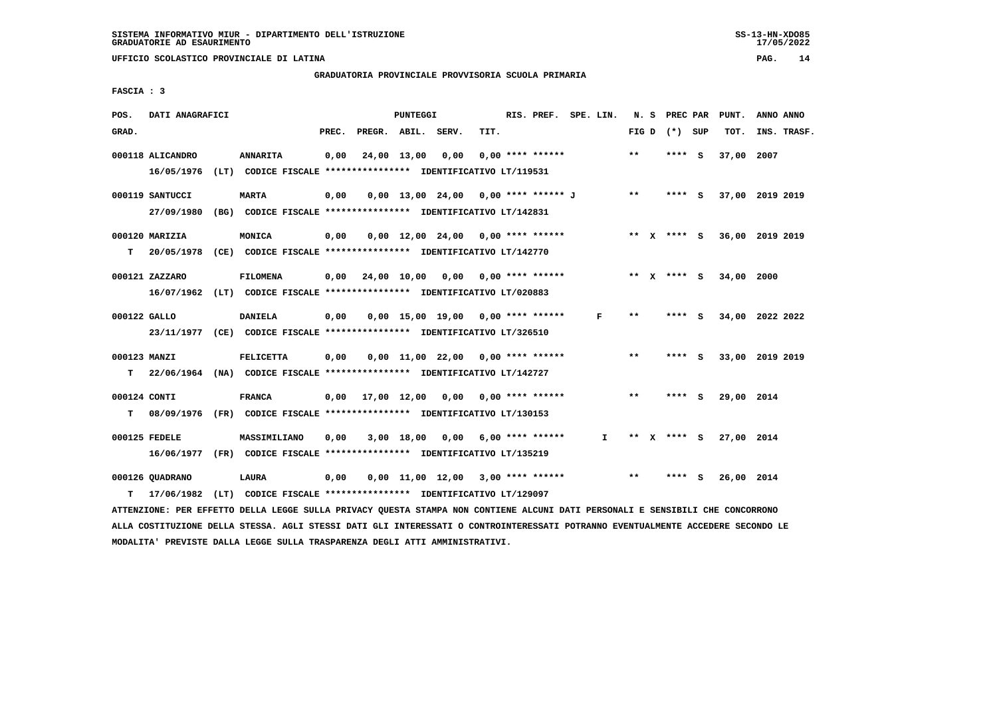**UFFICIO SCOLASTICO PROVINCIALE DI LATINA PAG. 14**

# **GRADUATORIA PROVINCIALE PROVVISORIA SCUOLA PRIMARIA**

 **FASCIA : 3**

| POS.              | DATI ANAGRAFICI                                                                            |                                                                                 |       |                               | PUNTEGGI |                                          |      | RIS. PREF. SPE. LIN. |              |       | N. S PREC PAR |          | PUNT.      | ANNO ANNO       |
|-------------------|--------------------------------------------------------------------------------------------|---------------------------------------------------------------------------------|-------|-------------------------------|----------|------------------------------------------|------|----------------------|--------------|-------|---------------|----------|------------|-----------------|
| GRAD.             |                                                                                            |                                                                                 | PREC. | PREGR. ABIL.                  |          | SERV.                                    | TIT. |                      |              | FIG D | (*) SUP       |          | TOT.       | INS. TRASF.     |
|                   | 000118 ALICANDRO<br>16/05/1976                                                             | <b>ANNARITA</b><br>(LT) CODICE FISCALE *************** IDENTIFICATIVO LT/119531 | 0,00  |                               |          | 24,00 13,00 0,00                         |      | $0.00$ **** ******   |              | $* *$ | $***$ S       |          | 37,00      | 2007            |
|                   | 000119 SANTUCCI<br>27/09/1980                                                              | <b>MARTA</b><br>(BG) CODICE FISCALE **************** IDENTIFICATIVO LT/142831   | 0,00  |                               |          | 0,00 13,00 24,00 0,00 **** ****** J      |      |                      |              | $* *$ | $***$ S       |          |            | 37,00 2019 2019 |
| т                 | 000120 MARIZIA<br>20/05/1978 (CE) CODICE FISCALE **************** IDENTIFICATIVO LT/142770 | MONICA                                                                          | 0,00  |                               |          | $0.00$ 12.00 24.00 0.00 **** ******      |      |                      |              |       | ** X **** S   |          |            | 36,00 2019 2019 |
|                   | 000121 ZAZZARO<br>16/07/1962 (LT) CODICE FISCALE *************** IDENTIFICATIVO LT/020883  | <b>FILOMENA</b>                                                                 |       |                               |          | $0,00$ 24,00 10,00 0,00 0,00 **** ****** |      |                      |              |       | ** $X$ **** S |          | 34,00 2000 |                 |
| 000122 GALLO      | 23/11/1977 (CE) CODICE FISCALE *************** IDENTIFICATIVO LT/326510                    | <b>DANIELA</b>                                                                  | 0,00  |                               |          | $0.00$ 15.00 19.00 0.00 **** ******      |      |                      | F            | $***$ | $***$ S       |          |            | 34,00 2022 2022 |
| 000123 MANZI<br>т | 22/06/1964 (NA) CODICE FISCALE **************** IDENTIFICATIVO LT/142727                   | <b>FELICETTA</b>                                                                | 0,00  |                               |          | 0,00 11,00 22,00 0,00 **** ******        |      |                      |              | **    | $***$ S       |          |            | 33,00 2019 2019 |
| 000124 CONTI<br>т | 08/09/1976 (FR) CODICE FISCALE *************** IDENTIFICATIVO LT/130153                    | <b>FRANCA</b>                                                                   |       | $0,00$ $17,00$ $12,00$ $0,00$ |          |                                          |      | 0,00 **** ******     |              | $* *$ | $***$ S       |          | 29,00 2014 |                 |
|                   | 000125 FEDELE<br>16/06/1977 (FR) CODICE FISCALE **************** IDENTIFICATIVO LT/135219  | MASSIMILIANO                                                                    | 0,00  |                               |          | $3,00$ 18,00 0,00 6,00 **** ******       |      |                      | $\mathbf{I}$ |       | ** x **** s   |          | 27,00 2014 |                 |
| т                 | 000126 QUADRANO<br>17/06/1982                                                              | LAURA<br>(LT) CODICE FISCALE **************** IDENTIFICATIVO LT/129097          | 0,00  |                               |          | $0,00$ 11,00 12,00 3,00 **** ******      |      |                      |              | $* *$ | ****          | <b>S</b> | 26,00 2014 |                 |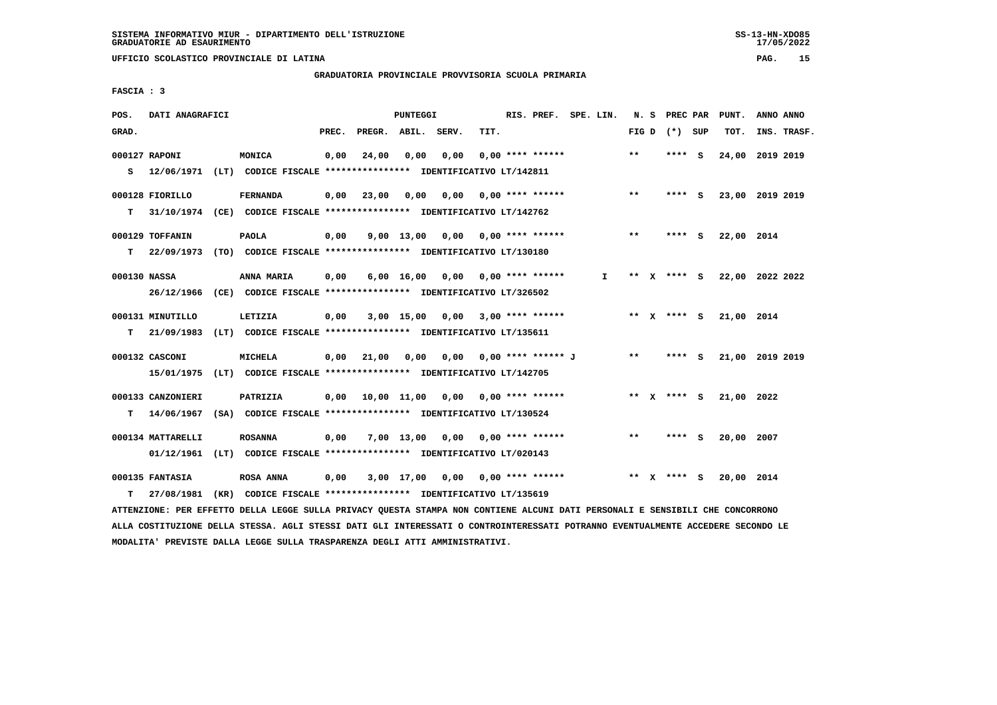**UFFICIO SCOLASTICO PROVINCIALE DI LATINA PAG. 15**

# **GRADUATORIA PROVINCIALE PROVVISORIA SCUOLA PRIMARIA**

 **FASCIA : 3**

| POS.  | DATI ANAGRAFICI   |                                                                          |       |                                          | PUNTEGGI           |                                    |      | RIS. PREF. SPE. LIN.      |    |       | N. S PREC PAR     | PUNT.      | ANNO ANNO       |
|-------|-------------------|--------------------------------------------------------------------------|-------|------------------------------------------|--------------------|------------------------------------|------|---------------------------|----|-------|-------------------|------------|-----------------|
| GRAD. |                   |                                                                          | PREC. | PREGR. ABIL. SERV.                       |                    |                                    | TIT. |                           |    |       | FIG $D$ $(*)$ SUP | TOT.       | INS. TRASF.     |
|       | 000127 RAPONI     | MONICA                                                                   | 0,00  | 24,00                                    | 0,00               | 0,00                               |      | $0.00$ **** ******        |    | $* *$ | **** S            |            | 24,00 2019 2019 |
| s     |                   | 12/06/1971 (LT) CODICE FISCALE **************** IDENTIFICATIVO LT/142811 |       |                                          |                    |                                    |      |                           |    |       |                   |            |                 |
|       | 000128 FIORILLO   | <b>FERNANDA</b>                                                          | 0,00  | 23,00                                    | 0,00               | 0,00                               |      | $0.00$ **** ******        |    | $***$ | $***$ S           |            | 23,00 2019 2019 |
| т     |                   | 31/10/1974 (CE) CODICE FISCALE *************** IDENTIFICATIVO LT/142762  |       |                                          |                    |                                    |      |                           |    |       |                   |            |                 |
|       | 000129 TOFFANIN   | <b>PAOLA</b>                                                             | 0,00  |                                          |                    | $9,00$ 13,00 0,00 0,00 **** ****** |      |                           |    | $***$ | $***$ S           | 22,00 2014 |                 |
| т     |                   | 22/09/1973 (TO) CODICE FISCALE **************** IDENTIFICATIVO LT/130180 |       |                                          |                    |                                    |      |                           |    |       |                   |            |                 |
|       | 000130 NASSA      | ANNA MARIA                                                               | 0,00  |                                          | $6,00 \quad 16,00$ |                                    |      | $0.00$ $0.00$ **** ****** | I. |       | ** X **** S       |            | 22,00 2022 2022 |
|       |                   | 26/12/1966 (CE) CODICE FISCALE *************** IDENTIFICATIVO LT/326502  |       |                                          |                    |                                    |      |                           |    |       |                   |            |                 |
|       | 000131 MINUTILLO  | LETIZIA                                                                  | 0,00  |                                          | $3,00$ 15,00       |                                    |      | $0,00$ 3,00 **** ******   |    |       | ** x **** S       | 21,00 2014 |                 |
| т     |                   | 21/09/1983 (LT) CODICE FISCALE **************** IDENTIFICATIVO LT/135611 |       |                                          |                    |                                    |      |                           |    |       |                   |            |                 |
|       | 000132 CASCONI    | MICHELA                                                                  |       | $0,00$ $21,00$ $0,00$                    |                    | 0.00                               |      | 0,00 **** ****** J        |    | $* *$ | **** S            |            | 21,00 2019 2019 |
|       |                   | 15/01/1975 (LT) CODICE FISCALE *************** IDENTIFICATIVO LT/142705  |       |                                          |                    |                                    |      |                           |    |       |                   |            |                 |
|       | 000133 CANZONIERI | PATRIZIA                                                                 |       | $0,00$ 10,00 11,00 0,00 0,00 **** ****** |                    |                                    |      |                           |    |       | ** $X$ **** S     | 21,00 2022 |                 |
| т     |                   | 14/06/1967 (SA) CODICE FISCALE **************** IDENTIFICATIVO LT/130524 |       |                                          |                    |                                    |      |                           |    |       |                   |            |                 |
|       | 000134 MATTARELLI | <b>ROSANNA</b>                                                           | 0,00  |                                          | 7,00 13,00         |                                    |      | $0,00$ $0,00$ **** ****** |    | $***$ | **** S            | 20,00 2007 |                 |
|       |                   | 01/12/1961 (LT) CODICE FISCALE *************** IDENTIFICATIVO LT/020143  |       |                                          |                    |                                    |      |                           |    |       |                   |            |                 |
|       |                   |                                                                          |       |                                          |                    |                                    |      |                           |    |       |                   |            |                 |
|       | 000135 FANTASIA   | <b>ROSA ANNA</b>                                                         | 0,00  |                                          | 3,00 17,00         | 0,00                               |      | $0.00$ **** ******        |    | ** X  | **** S            | 20,00 2014 |                 |
| т     | 27/08/1981        | (KR) CODICE FISCALE **************** IDENTIFICATIVO LT/135619            |       |                                          |                    |                                    |      |                           |    |       |                   |            |                 |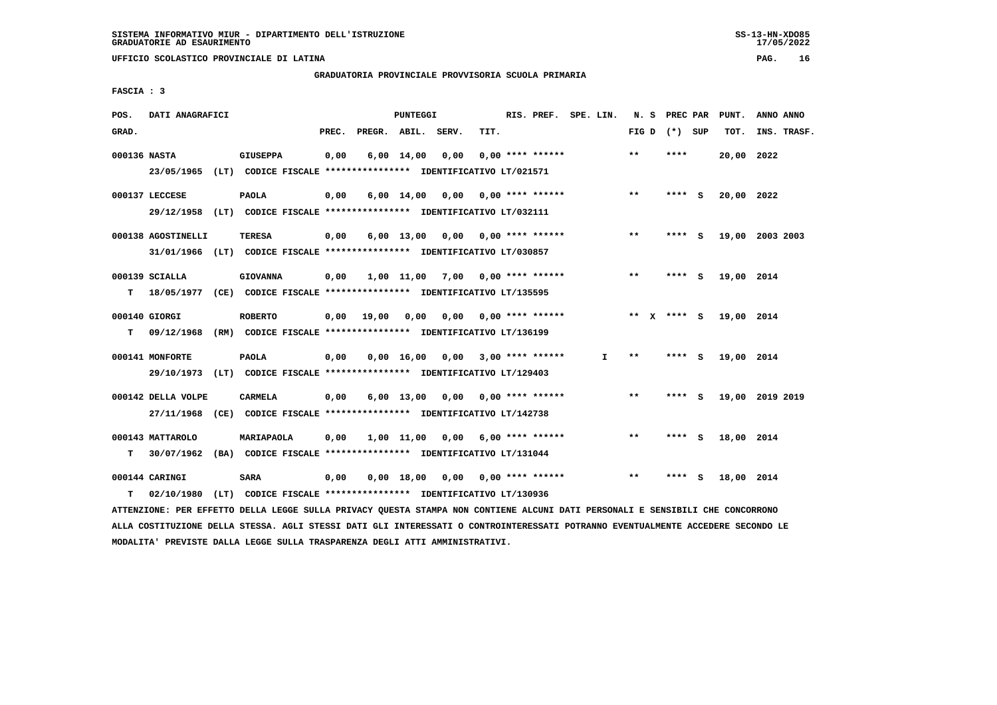**UFFICIO SCOLASTICO PROVINCIALE DI LATINA PAG. 16**

 **GRADUATORIA PROVINCIALE PROVVISORIA SCUOLA PRIMARIA**

 **FASCIA : 3**

| POS.         | DATI ANAGRAFICI    |                                                                                                                               |       |       | PUNTEGGI |                                                               |      | RIS. PREF. SPE. LIN. |              |                 | N. S PREC PAR | PUNT.      | ANNO ANNO       |  |
|--------------|--------------------|-------------------------------------------------------------------------------------------------------------------------------|-------|-------|----------|---------------------------------------------------------------|------|----------------------|--------------|-----------------|---------------|------------|-----------------|--|
| GRAD.        |                    |                                                                                                                               | PREC. |       |          | PREGR. ABIL. SERV.                                            | TIT. |                      |              | FIG D $(*)$ SUP |               | тот.       | INS. TRASF.     |  |
| 000136 NASTA |                    | <b>GIUSEPPA</b>                                                                                                               | 0,00  |       |          | $6,00 \quad 14,00 \quad 0,00$                                 |      | $0.00$ **** ******   |              | $* *$           | ****          | 20,00 2022 |                 |  |
|              |                    | 23/05/1965 (LT) CODICE FISCALE *************** IDENTIFICATIVO LT/021571                                                       |       |       |          |                                                               |      |                      |              |                 |               |            |                 |  |
|              | 000137 LECCESE     | <b>PAOLA</b>                                                                                                                  | 0,00  |       |          | $6,00$ 14,00 0,00 0,00 **** ******                            |      |                      |              | $**$            | **** S        | 20,00 2022 |                 |  |
|              |                    | 29/12/1958 (LT) CODICE FISCALE *************** IDENTIFICATIVO LT/032111                                                       |       |       |          |                                                               |      |                      |              |                 |               |            |                 |  |
|              |                    |                                                                                                                               |       |       |          |                                                               |      |                      |              |                 |               |            |                 |  |
|              | 000138 AGOSTINELLI | TERESA                                                                                                                        | 0,00  |       |          | 6,00 13,00 0,00 0,00 **** ******                              |      |                      |              | $***$           | **** S        |            | 19,00 2003 2003 |  |
|              |                    | 31/01/1966 (LT) CODICE FISCALE *************** IDENTIFICATIVO LT/030857                                                       |       |       |          |                                                               |      |                      |              |                 |               |            |                 |  |
|              | 000139 SCIALLA     | <b>GIOVANNA</b>                                                                                                               | 0,00  |       |          | $1,00$ $11,00$ $7,00$ $0,00$ **** ******                      |      |                      |              | $***$           | $***$ S       | 19,00 2014 |                 |  |
| т            |                    | 18/05/1977 (CE) CODICE FISCALE **************** IDENTIFICATIVO LT/135595                                                      |       |       |          |                                                               |      |                      |              |                 |               |            |                 |  |
|              | 000140 GIORGI      | <b>ROBERTO</b>                                                                                                                | 0,00  | 19,00 |          | 0,00 0,00 0,00 **** ******                                    |      |                      |              | ** X **** S     |               | 19,00 2014 |                 |  |
| т            |                    | 09/12/1968 (RM) CODICE FISCALE **************** IDENTIFICATIVO LT/136199                                                      |       |       |          |                                                               |      |                      |              |                 |               |            |                 |  |
|              |                    |                                                                                                                               |       |       |          |                                                               |      |                      |              |                 |               |            |                 |  |
|              | 000141 MONFORTE    | <b>PAOLA</b>                                                                                                                  | 0,00  |       |          | $0.00 \quad 16.00 \quad 0.00 \quad 3.00 \quad *** \quad ***}$ |      |                      | $\mathbf{I}$ | $***$           | **** S        | 19,00 2014 |                 |  |
|              | 29/10/1973         | (LT) CODICE FISCALE *************** IDENTIFICATIVO LT/129403                                                                  |       |       |          |                                                               |      |                      |              |                 |               |            |                 |  |
|              | 000142 DELLA VOLPE | <b>CARMELA</b>                                                                                                                | 0,00  |       |          | $6,00$ 13,00 0,00 0,00 **** ******                            |      |                      |              | $***$           | **** S        |            | 19,00 2019 2019 |  |
|              |                    | 27/11/1968 (CE) CODICE FISCALE *************** IDENTIFICATIVO LT/142738                                                       |       |       |          |                                                               |      |                      |              |                 |               |            |                 |  |
|              |                    |                                                                                                                               |       |       |          |                                                               |      |                      |              |                 |               |            |                 |  |
|              | 000143 MATTAROLO   | MARIAPAOLA                                                                                                                    | 0,00  |       |          | $1,00$ $11,00$ $0,00$ $6,00$ **** ******                      |      |                      |              | $***$           | **** S        | 18,00 2014 |                 |  |
| т            |                    | 30/07/1962 (BA) CODICE FISCALE **************** IDENTIFICATIVO LT/131044                                                      |       |       |          |                                                               |      |                      |              |                 |               |            |                 |  |
|              | 000144 CARINGI     | <b>SARA</b>                                                                                                                   | 0,00  |       |          | 0,00 18,00 0,00 0,00 **** ******                              |      |                      |              | $* *$           | **** S        | 18,00 2014 |                 |  |
| т            | 02/10/1980         | (LT) CODICE FISCALE **************** IDENTIFICATIVO LT/130936                                                                 |       |       |          |                                                               |      |                      |              |                 |               |            |                 |  |
|              |                    | ATTENZIONE: PER EFFETTO DELLA LEGGE SULLA PRIVACY QUESTA STAMPA NON CONTIENE ALCUNI DATI PERSONALI E SENSIBILI CHE CONCORRONO |       |       |          |                                                               |      |                      |              |                 |               |            |                 |  |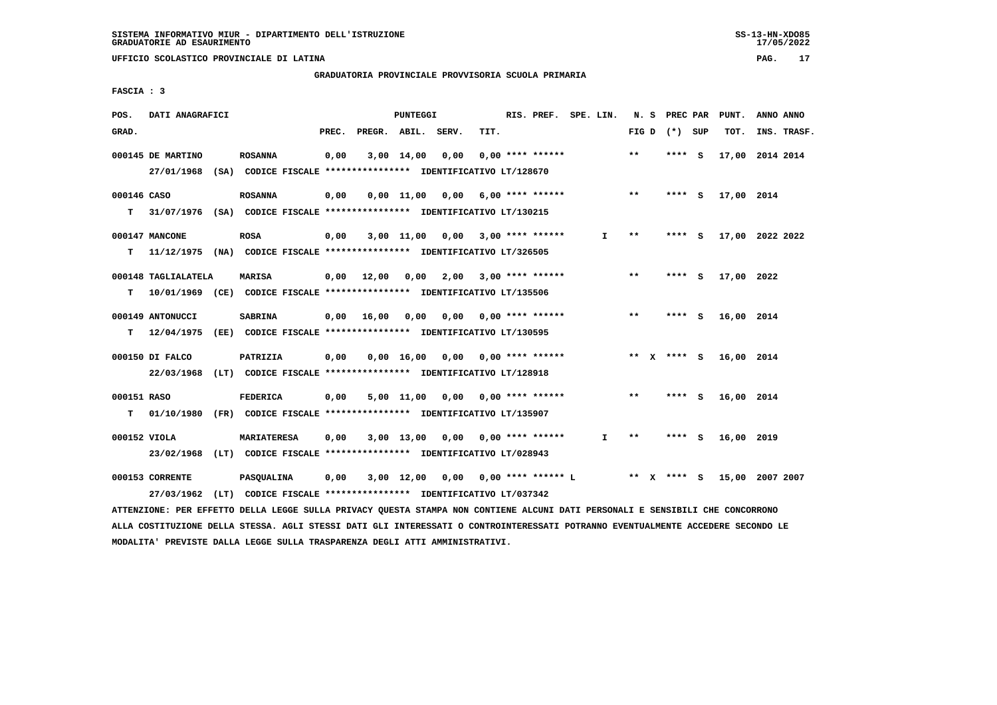**GRADUATORIA PROVINCIALE PROVVISORIA SCUOLA PRIMARIA**

 **FASCIA : 3**

| POS.             | DATI ANAGRAFICI                                                                                |                    |       |                    | <b>PUNTEGGI</b> |                                                                                                       |      | RIS. PREF. SPE. LIN.    |              |       | N. S PREC PAR   | PUNT.      | ANNO ANNO       |
|------------------|------------------------------------------------------------------------------------------------|--------------------|-------|--------------------|-----------------|-------------------------------------------------------------------------------------------------------|------|-------------------------|--------------|-------|-----------------|------------|-----------------|
| GRAD.            |                                                                                                |                    | PREC. | PREGR. ABIL. SERV. |                 |                                                                                                       | TIT. |                         |              |       | FIG D $(*)$ SUP | TOT.       | INS. TRASF.     |
|                  | 000145 DE MARTINO<br>27/01/1968                                                                | <b>ROSANNA</b>     | 0,00  |                    | 3,00 14,00      | 0,00<br>(SA) CODICE FISCALE **************** IDENTIFICATIVO LT/128670                                 |      | $0.00$ **** ******      |              | $* *$ | **** S          |            | 17,00 2014 2014 |
| 000146 CASO<br>т | 31/07/1976 (SA) CODICE FISCALE *************** IDENTIFICATIVO LT/130215                        | <b>ROSANNA</b>     | 0,00  |                    |                 | $0,00$ 11,00 0,00 6,00 **** ******                                                                    |      |                         |              | $***$ | **** S          | 17,00 2014 |                 |
| т                | 000147 MANCONE<br>11/12/1975 (NA) CODICE FISCALE *************** IDENTIFICATIVO LT/326505      | <b>ROSA</b>        | 0,00  |                    |                 | $3,00$ 11,00 0,00 3,00 **** ******                                                                    |      |                         | I.           | **    | **** S          |            | 17,00 2022 2022 |
| т                | 000148 TAGLIALATELA<br>10/01/1969 (CE) CODICE FISCALE *************** IDENTIFICATIVO LT/135506 | <b>MARISA</b>      |       | 0,00 12,00         | 0,00            | 2,00                                                                                                  |      | $3,00$ **** ******      |              | $***$ | **** S          | 17,00 2022 |                 |
| T.               | 000149 ANTONUCCI<br>12/04/1975                                                                 | <b>SABRINA</b>     |       | $0,00$ 16,00       | 0,00            | (EE) CODICE FISCALE *************** IDENTIFICATIVO LT/130595                                          |      | $0,00$ 0,00 **** ****** |              | $***$ | **** S          | 16,00 2014 |                 |
|                  | 000150 DI FALCO<br>22/03/1968 (LT) CODICE FISCALE *************** IDENTIFICATIVO LT/128918     | PATRIZIA           | 0,00  |                    |                 | $0.00 \quad 16.00 \quad 0.00 \quad 0.00 \quad *** \quad ***$                                          |      |                         |              |       | ** x **** s     | 16,00 2014 |                 |
| 000151 RASO<br>т | 01/10/1980 (FR) CODICE FISCALE *************** IDENTIFICATIVO LT/135907                        | <b>FEDERICA</b>    | 0,00  |                    |                 | 5,00 11,00 0,00                                                                                       |      | $0,00$ **** ******      |              | $***$ | **** $S$        | 16,00 2014 |                 |
| 000152 VIOLA     | 23/02/1968 (LT) CODICE FISCALE *************** IDENTIFICATIVO LT/028943                        | <b>MARIATERESA</b> | 0,00  |                    |                 | $3,00$ 13,00 0,00 0,00 **** ******                                                                    |      |                         | $\mathbf{I}$ | **    | $***$ S         | 16,00 2019 |                 |
|                  | 000153 CORRENTE<br>27/03/1962                                                                  | <b>PASQUALINA</b>  | 0,00  |                    |                 | $3,00$ 12,00 0,00 0,00 **** ****** L<br>(LT) CODICE FISCALE **************** IDENTIFICATIVO LT/037342 |      |                         |              |       | ** X **** S     |            | 15,00 2007 2007 |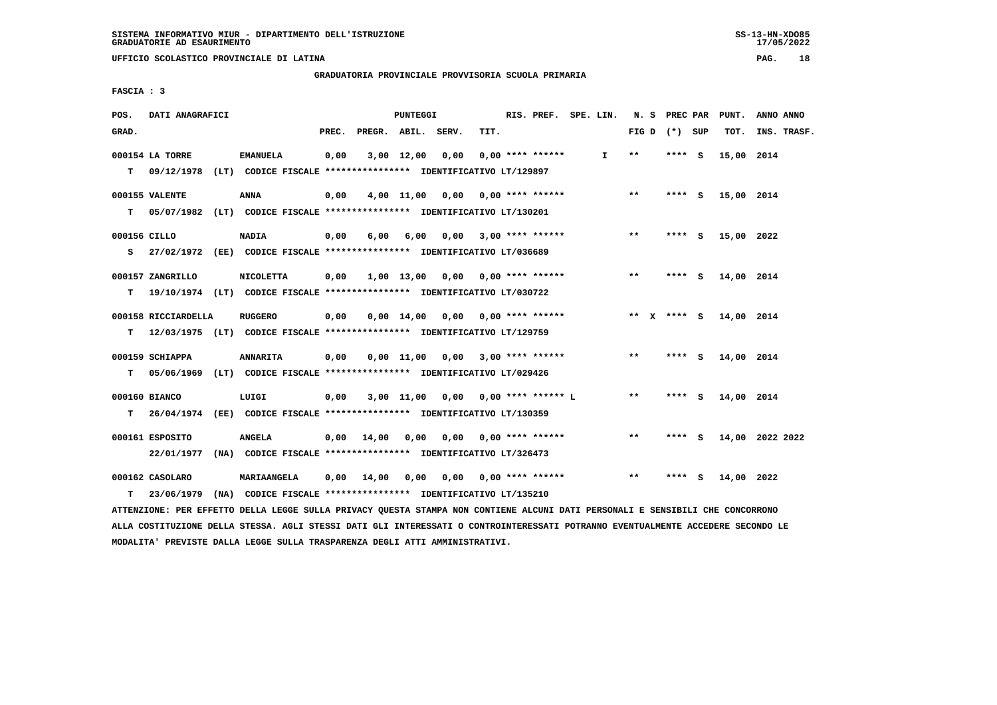**UFFICIO SCOLASTICO PROVINCIALE DI LATINA PAG. 18**

 **GRADUATORIA PROVINCIALE PROVVISORIA SCUOLA PRIMARIA**

 **FASCIA : 3**

| POS.         | DATI ANAGRAFICI     |                                                                           |       |                    | PUNTEGGI   |                                    |      | RIS. PREF. SPE. LIN.    |    |                 | N. S PREC PAR | PUNT.      | ANNO ANNO       |
|--------------|---------------------|---------------------------------------------------------------------------|-------|--------------------|------------|------------------------------------|------|-------------------------|----|-----------------|---------------|------------|-----------------|
| GRAD.        |                     |                                                                           | PREC. | PREGR. ABIL. SERV. |            |                                    | TIT. |                         |    | FIG D $(*)$ SUP |               | TOT.       | INS. TRASF.     |
|              | 000154 LA TORRE     | <b>EMANUELA</b>                                                           | 0,00  |                    | 3,00 12,00 | 0,00                               |      | $0.00$ **** ******      | Ι. | $* *$           | **** S        | 15,00 2014 |                 |
|              |                     | T 09/12/1978 (LT) CODICE FISCALE *************** IDENTIFICATIVO LT/129897 |       |                    |            |                                    |      |                         |    |                 |               |            |                 |
|              | 000155 VALENTE      | <b>ANNA</b>                                                               | 0,00  |                    |            | $4,00$ 11,00 0,00 0,00 **** ****** |      |                         |    | $* *$           | **** S        | 15,00 2014 |                 |
| T.           |                     | 05/07/1982 (LT) CODICE FISCALE **************** IDENTIFICATIVO LT/130201  |       |                    |            |                                    |      |                         |    |                 |               |            |                 |
| 000156 CILLO |                     | <b>NADIA</b>                                                              | 0,00  | 6,00               | 6,00       |                                    |      | $0,00$ 3,00 **** ****** |    | **              | **** S        | 15,00 2022 |                 |
|              |                     | S 27/02/1972 (EE) CODICE FISCALE *************** IDENTIFICATIVO LT/036689 |       |                    |            |                                    |      |                         |    |                 |               |            |                 |
|              | 000157 ZANGRILLO    | <b>NICOLETTA</b>                                                          | 0,00  |                    |            | 1,00 13,00 0,00 0,00 **** ******   |      |                         |    | $***$           | **** S        | 14,00 2014 |                 |
| т            |                     | 19/10/1974 (LT) CODICE FISCALE **************** IDENTIFICATIVO LT/030722  |       |                    |            |                                    |      |                         |    |                 |               |            |                 |
|              | 000158 RICCIARDELLA | <b>RUGGERO</b>                                                            | 0,00  |                    |            | 0,00 14,00 0,00                    |      | $0.00$ **** ******      |    | ** $X$ **** S   |               | 14,00 2014 |                 |
| т            |                     | 12/03/1975 (LT) CODICE FISCALE *************** IDENTIFICATIVO LT/129759   |       |                    |            |                                    |      |                         |    |                 |               |            |                 |
|              | 000159 SCHIAPPA     | <b>ANNARITA</b>                                                           | 0,00  |                    |            | $0,00$ 11,00 0,00 3,00 **** ****** |      |                         |    | $***$           | **** S        | 14,00 2014 |                 |
| T.           |                     | 05/06/1969 (LT) CODICE FISCALE **************** IDENTIFICATIVO LT/029426  |       |                    |            |                                    |      |                         |    |                 |               |            |                 |
|              | 000160 BIANCO       | LUIGI                                                                     | 0,00  |                    |            | 3,00 11,00 0,00 0,00 **** ****** L |      |                         |    | $***$           | **** S        | 14,00 2014 |                 |
| T.           |                     | 26/04/1974 (EE) CODICE FISCALE *************** IDENTIFICATIVO LT/130359   |       |                    |            |                                    |      |                         |    |                 |               |            |                 |
|              | 000161 ESPOSITO     | <b>ANGELA</b>                                                             |       | $0,00$ 14,00       | 0,00       | 0.00                               |      | 0,00 **** ******        |    | **              | **** S        |            | 14,00 2022 2022 |
|              | 22/01/1977          | (NA) CODICE FISCALE **************** IDENTIFICATIVO LT/326473             |       |                    |            |                                    |      |                         |    |                 |               |            |                 |
|              | 000162 CASOLARO     | MARIAANGELA                                                               |       | $0,00$ 14,00       | 0,00       | 0,00                               |      | $0.00$ **** ******      |    | $* *$           | **** S        | 14,00      | 2022            |
| T.           |                     | 23/06/1979 (NA) CODICE FISCALE **************** IDENTIFICATIVO LT/135210  |       |                    |            |                                    |      |                         |    |                 |               |            |                 |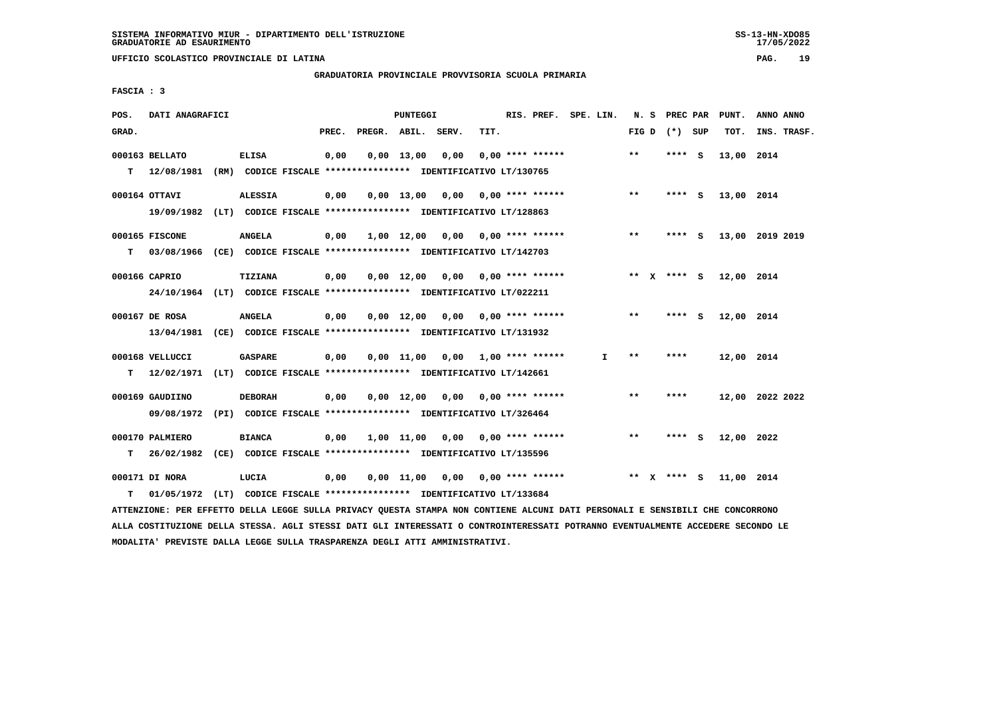**UFFICIO SCOLASTICO PROVINCIALE DI LATINA PAG. 19**

 **GRADUATORIA PROVINCIALE PROVVISORIA SCUOLA PRIMARIA**

 **FASCIA : 3**

| POS.  | DATI ANAGRAFICI                                                           |                |       |                    | <b>PUNTEGGI</b>    |                                    |      | RIS. PREF. SPE. LIN.      |    |       | N. S PREC PAR   | PUNT.      | ANNO ANNO       |
|-------|---------------------------------------------------------------------------|----------------|-------|--------------------|--------------------|------------------------------------|------|---------------------------|----|-------|-----------------|------------|-----------------|
| GRAD. |                                                                           |                | PREC. | PREGR. ABIL. SERV. |                    |                                    | TIT. |                           |    |       | FIG D $(*)$ SUP | TOT.       | INS. TRASF.     |
|       | 000163 BELLATO                                                            | <b>ELISA</b>   | 0,00  |                    | $0.00$ 13,00       | 0,00                               |      | $0.00$ **** ******        |    | $**$  | $***$ S         | 13,00 2014 |                 |
|       | T 12/08/1981 (RM) CODICE FISCALE *************** IDENTIFICATIVO LT/130765 |                |       |                    |                    |                                    |      |                           |    |       |                 |            |                 |
|       | 000164 OTTAVI                                                             | <b>ALESSIA</b> | 0,00  |                    |                    | $0,00$ 13,00 0,00 0,00 **** ****** |      |                           |    | $***$ | **** S          | 13,00 2014 |                 |
|       | 19/09/1982 (LT) CODICE FISCALE *************** IDENTIFICATIVO LT/128863   |                |       |                    |                    |                                    |      |                           |    |       |                 |            |                 |
|       | 000165 FISCONE                                                            | <b>ANGELA</b>  | 0,00  |                    |                    | 1,00 12,00 0,00 0,00 **** ******   |      |                           |    | $* *$ | **** S          |            | 13,00 2019 2019 |
| т     | 03/08/1966 (CE) CODICE FISCALE **************** IDENTIFICATIVO LT/142703  |                |       |                    |                    |                                    |      |                           |    |       |                 |            |                 |
|       | 000166 CAPRIO                                                             | <b>TIZIANA</b> | 0,00  |                    | $0,00 \quad 12,00$ | 0,00 0,00 **** ******              |      |                           |    |       | ** $X$ **** S   | 12,00 2014 |                 |
|       | 24/10/1964 (LT) CODICE FISCALE *************** IDENTIFICATIVO LT/022211   |                |       |                    |                    |                                    |      |                           |    |       |                 |            |                 |
|       | 000167 DE ROSA                                                            | <b>ANGELA</b>  | 0,00  |                    |                    | $0,00$ $12,00$ $0,00$              |      | $0.00$ **** ******        |    | $***$ | **** S          | 12,00 2014 |                 |
|       | 13/04/1981 (CE) CODICE FISCALE **************** IDENTIFICATIVO LT/131932  |                |       |                    |                    |                                    |      |                           |    |       |                 |            |                 |
|       | 000168 VELLUCCI                                                           | <b>GASPARE</b> | 0,00  |                    |                    | $0,00$ 11,00 0,00 1,00 **** ****** |      |                           | I. | $* *$ | ****            | 12,00 2014 |                 |
| т     | 12/02/1971 (LT) CODICE FISCALE *************** IDENTIFICATIVO LT/142661   |                |       |                    |                    |                                    |      |                           |    |       |                 |            |                 |
|       | 000169 GAUDIINO                                                           | <b>DEBORAH</b> | 0,00  |                    | $0.00$ 12.00       |                                    |      | $0.00$ $0.00$ **** ****** |    | $* *$ | ****            |            | 12,00 2022 2022 |
|       | 09/08/1972 (PI) CODICE FISCALE *************** IDENTIFICATIVO LT/326464   |                |       |                    |                    |                                    |      |                           |    |       |                 |            |                 |
|       | 000170 PALMIERO                                                           | <b>BIANCA</b>  | 0,00  |                    | 1,00 11,00         | 0,00                               |      | $0.00$ **** ******        |    | **    | **** S          | 12,00 2022 |                 |
| т     | 26/02/1982 (CE) CODICE FISCALE *************** IDENTIFICATIVO LT/135596   |                |       |                    |                    |                                    |      |                           |    |       |                 |            |                 |
|       | 000171 DI NORA                                                            | LUCIA          | 0,00  |                    |                    | 0,00 11,00 0,00                    |      | $0.00$ **** ******        |    |       | ** X **** S     | 11,00 2014 |                 |
| т     | 01/05/1972 (LT) CODICE FISCALE *************** IDENTIFICATIVO LT/133684   |                |       |                    |                    |                                    |      |                           |    |       |                 |            |                 |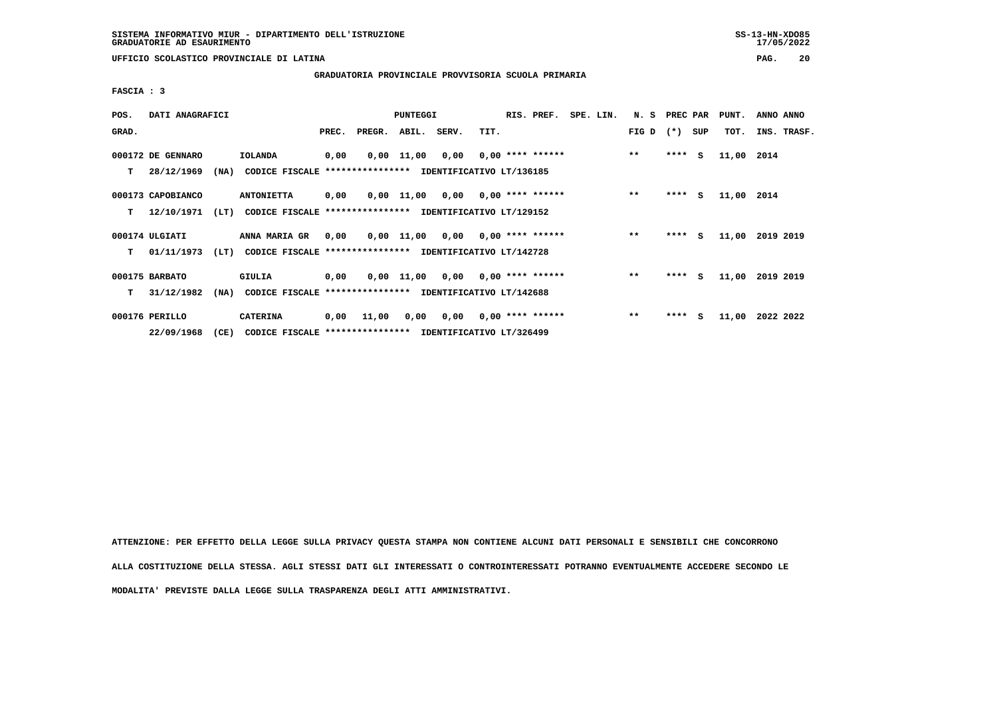**UFFICIO SCOLASTICO PROVINCIALE DI LATINA PAG. 20**

 **GRADUATORIA PROVINCIALE PROVVISORIA SCUOLA PRIMARIA**

 **FASCIA : 3**

| POS.  | DATI ANAGRAFICI                 |      |                                                          |       |                                          | <b>PUNTEGGI</b> |                                    |                           | RIS. PREF. |  | SPE. LIN. | N. S PREC PAR |         |     | PUNT.      | ANNO ANNO |             |
|-------|---------------------------------|------|----------------------------------------------------------|-------|------------------------------------------|-----------------|------------------------------------|---------------------------|------------|--|-----------|---------------|---------|-----|------------|-----------|-------------|
| GRAD. |                                 |      |                                                          | PREC. | PREGR. ABIL. SERV.                       |                 |                                    | TIT.                      |            |  |           | FIG D $(*)$   |         | SUP | TOT.       |           | INS. TRASF. |
| т     | 000172 DE GENNARO<br>28/12/1969 | (NA) | IOLANDA<br>CODICE FISCALE                                | 0,00  | *************** IDENTIFICATIVO LT/136185 |                 | $0,00$ 11,00 0,00 0,00 **** ****** |                           |            |  |           | $***$         | $***$ S |     | 11,00 2014 |           |             |
|       |                                 |      |                                                          |       |                                          |                 |                                    |                           |            |  |           |               |         |     |            |           |             |
|       | 000173 CAPOBIANCO               |      | <b>ANTONIETTA</b>                                        | 0,00  |                                          |                 | 0,00 11,00 0,00 0,00 **** ******   |                           |            |  |           | $* *$         | $***$ S |     | 11,00 2014 |           |             |
| т     | 12/10/1971                      | (LT) | CODICE FISCALE **************** IDENTIFICATIVO LT/129152 |       |                                          |                 |                                    |                           |            |  |           |               |         |     |            |           |             |
|       | 000174 ULGIATI                  |      | <b>ANNA MARIA GR</b>                                     | 0,00  |                                          |                 | $0,00$ 11,00 0,00 0,00 **** ****** |                           |            |  |           | $***$         | $***5$  |     | 11,00      | 2019 2019 |             |
| T.    | 01/11/1973                      | (LT) | CODICE FISCALE **************** IDENTIFICATIVO LT/142728 |       |                                          |                 |                                    |                           |            |  |           |               |         |     |            |           |             |
|       | 000175 BARBATO                  |      | GIULIA                                                   | 0,00  |                                          |                 | $0,00$ 11,00 0,00 0,00 **** ****** |                           |            |  |           | $**$          | $***$ S |     | 11,00      | 2019 2019 |             |
| т     | 31/12/1982                      | (NA) | CODICE FISCALE **************** IDENTIFICATIVO LT/142688 |       |                                          |                 |                                    |                           |            |  |           |               |         |     |            |           |             |
|       | 000176 PERILLO                  |      | <b>CATERINA</b>                                          | 0,00  | 11,00                                    | 0,00            |                                    | $0,00$ $0,00$ **** ****** |            |  |           | $***$         | $***$ S |     | 11,00      | 2022 2022 |             |
|       | 22/09/1968                      | (CE) | CODICE FISCALE **************** IDENTIFICATIVO LT/326499 |       |                                          |                 |                                    |                           |            |  |           |               |         |     |            |           |             |